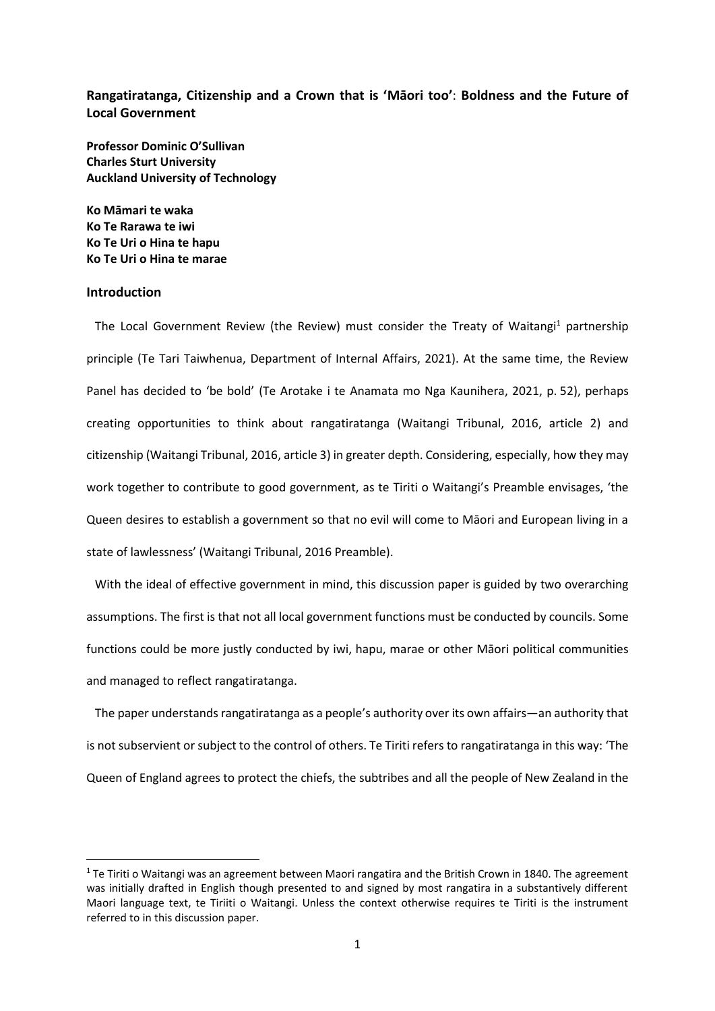**Rangatiratanga, Citizenship and a Crown that is 'Māori too'**: **Boldness and the Future of Local Government**

**Professor Dominic O'Sullivan Charles Sturt University Auckland University of Technology**

**Ko Māmari te waka Ko Te Rarawa te iwi Ko Te Uri o Hina te hapu Ko Te Uri o Hina te marae**

## **Introduction**

1

The Local Government Review (the Review) must consider the Treaty of Waitangi<sup>1</sup> partnership principle (Te Tari Taiwhenua, [Department](https://www.dia.govt.nz/) of Internal Affairs, 2021). At the same time, the Review Panel has decided to 'be bold' (Te Arotake i te Anamata mo Nga Kaunihera, 2021, p. 52), perhaps creating opportunities to think about rangatiratanga (Waitangi Tribunal, 2016, article 2) and citizenship (Waitangi Tribunal, 2016, article 3) in greater depth. Considering, especially, how they may work together to contribute to good government, as te Tiriti o Waitangi's Preamble envisages, 'the Queen desires to establish a government so that no evil will come to Māori and European living in a state of lawlessness' (Waitangi Tribunal, 2016 Preamble).

With the ideal of effective government in mind, this discussion paper is guided by two overarching assumptions. The first is that not all local government functions must be conducted by councils. Some functions could be more justly conducted by iwi, hapu, marae or other Māori political communities and managed to reflect rangatiratanga.

The paper understands rangatiratanga as a people's authority over its own affairs—an authority that is not subservient or subject to the control of others. Te Tiriti refers to rangatiratanga in this way: 'The Queen of England agrees to protect the chiefs, the subtribes and all the people of New Zealand in the

 $1$  Te Tiriti o Waitangi was an agreement between Maori rangatira and the British Crown in 1840. The agreement was initially drafted in English though presented to and signed by most rangatira in a substantively different Maori language text, te Tiriiti o Waitangi. Unless the context otherwise requires te Tiriti is the instrument referred to in this discussion paper.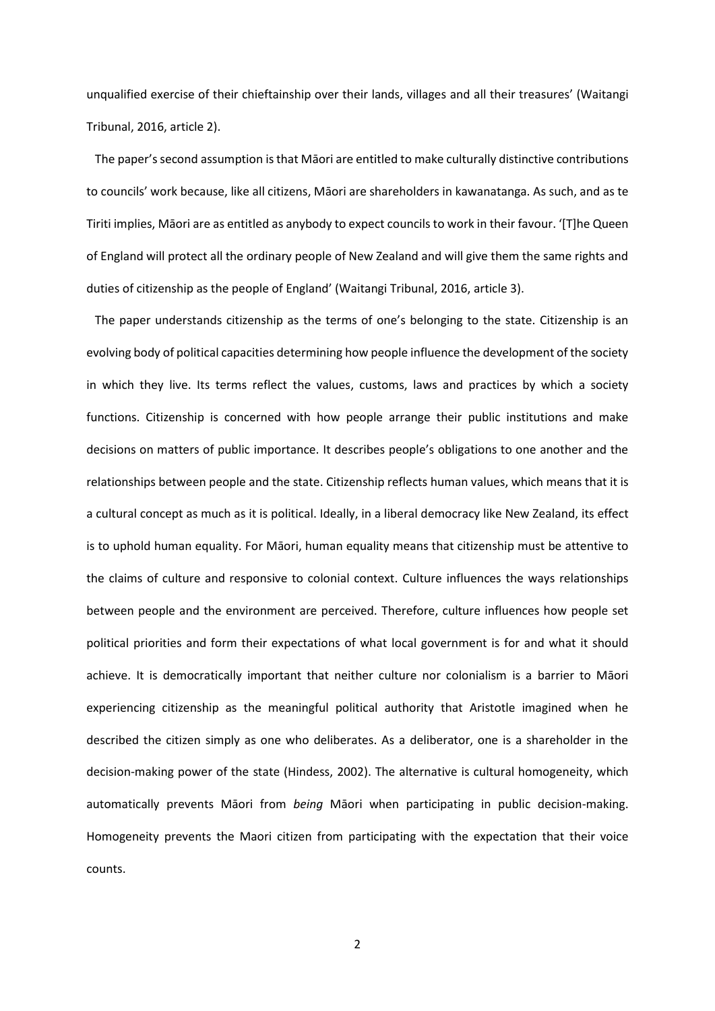unqualified exercise of their chieftainship over their lands, villages and all their treasures' (Waitangi Tribunal, 2016, article 2).

The paper's second assumption is that Māori are entitled to make culturally distinctive contributions to councils' work because, like all citizens, Māori are shareholders in kawanatanga. As such, and as te Tiriti implies, Māori are as entitled as anybody to expect councils to work in their favour. '[T]he Queen of England will protect all the ordinary people of New Zealand and will give them the same rights and duties of citizenship as the people of England' (Waitangi Tribunal, 2016, article 3).

The paper understands citizenship as the terms of one's belonging to the state. Citizenship is an evolving body of political capacities determining how people influence the development of the society in which they live. Its terms reflect the values, customs, laws and practices by which a society functions. Citizenship is concerned with how people arrange their public institutions and make decisions on matters of public importance. It describes people's obligations to one another and the relationships between people and the state. Citizenship reflects human values, which means that it is a cultural concept as much as it is political. Ideally, in a liberal democracy like New Zealand, its effect is to uphold human equality. For Māori, human equality means that citizenship must be attentive to the claims of culture and responsive to colonial context. Culture influences the ways relationships between people and the environment are perceived. Therefore, culture influences how people set political priorities and form their expectations of what local government is for and what it should achieve. It is democratically important that neither culture nor colonialism is a barrier to Māori experiencing citizenship as the meaningful political authority that Aristotle imagined when he described the citizen simply as one who deliberates. As a deliberator, one is a shareholder in the decision-making power of the state (Hindess, 2002). The alternative is cultural homogeneity, which automatically prevents Māori from *being* Māori when participating in public decision-making. Homogeneity prevents the Maori citizen from participating with the expectation that their voice counts.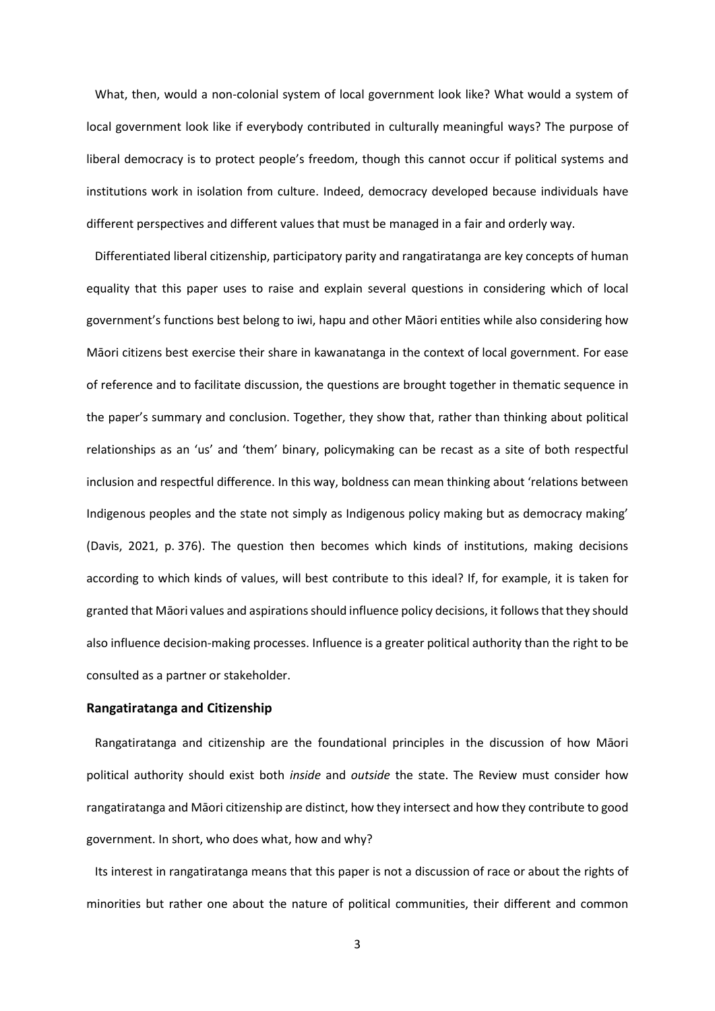What, then, would a non-colonial system of local government look like? What would a system of local government look like if everybody contributed in culturally meaningful ways? The purpose of liberal democracy is to protect people's freedom, though this cannot occur if political systems and institutions work in isolation from culture. Indeed, democracy developed because individuals have different perspectives and different values that must be managed in a fair and orderly way.

Differentiated liberal citizenship, participatory parity and rangatiratanga are key concepts of human equality that this paper uses to raise and explain several questions in considering which of local government's functions best belong to iwi, hapu and other Māori entities while also considering how Māori citizens best exercise their share in kawanatanga in the context of local government. For ease of reference and to facilitate discussion, the questions are brought together in thematic sequence in the paper's summary and conclusion. Together, they show that, rather than thinking about political relationships as an 'us' and 'them' binary, policymaking can be recast as a site of both respectful inclusion and respectful difference. In this way, boldness can mean thinking about 'relations between Indigenous peoples and the state not simply as Indigenous policy making but as democracy making' (Davis, 2021, p. 376). The question then becomes which kinds of institutions, making decisions according to which kinds of values, will best contribute to this ideal? If, for example, it is taken for granted that Māori values and aspirations should influence policy decisions, it follows that they should also influence decision-making processes. Influence is a greater political authority than the right to be consulted as a partner or stakeholder.

## **Rangatiratanga and Citizenship**

Rangatiratanga and citizenship are the foundational principles in the discussion of how Māori political authority should exist both *inside* and *outside* the state. The Review must consider how rangatiratanga and Māori citizenship are distinct, how they intersect and how they contribute to good government. In short, who does what, how and why?

Its interest in rangatiratanga means that this paper is not a discussion of race or about the rights of minorities but rather one about the nature of political communities, their different and common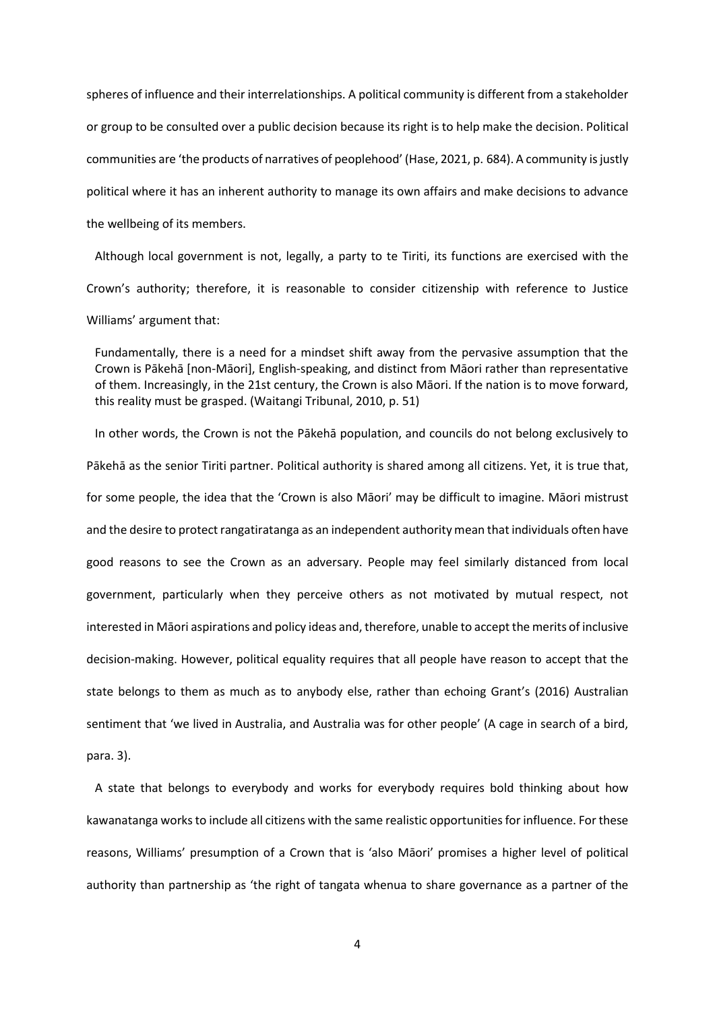spheres of influence and their interrelationships. A political community is different from a stakeholder or group to be consulted over a public decision because its right is to help make the decision. Political communities are 'the products of narratives of peoplehood' (Hase, 2021, p. 684). A community is justly political where it has an inherent authority to manage its own affairs and make decisions to advance the wellbeing of its members.

Although local government is not, legally, a party to te Tiriti, its functions are exercised with the Crown's authority; therefore, it is reasonable to consider citizenship with reference to Justice Williams' argument that:

Fundamentally, there is a need for a mindset shift away from the pervasive assumption that the Crown is Pākehā [non-Māori], English-speaking, and distinct from Māori rather than representative of them. Increasingly, in the 21st century, the Crown is also Māori. If the nation is to move forward, this reality must be grasped. (Waitangi Tribunal, 2010, p. 51)

In other words, the Crown is not the Pākehā population, and councils do not belong exclusively to Pākehā as the senior Tiriti partner. Political authority is shared among all citizens. Yet, it is true that, for some people, the idea that the 'Crown is also Māori' may be difficult to imagine. Māori mistrust and the desire to protect rangatiratanga as an independent authority mean that individuals often have good reasons to see the Crown as an adversary. People may feel similarly distanced from local government, particularly when they perceive others as not motivated by mutual respect, not interested in Māori aspirations and policy ideas and, therefore, unable to accept the merits of inclusive decision-making. However, political equality requires that all people have reason to accept that the state belongs to them as much as to anybody else, rather than echoing Grant's (2016) Australian sentiment that 'we lived in Australia, and Australia was for other people' (A cage in search of a bird, para. 3).

A state that belongs to everybody and works for everybody requires bold thinking about how kawanatanga works to include all citizens with the same realistic opportunities for influence. For these reasons, Williams' presumption of a Crown that is 'also Māori' promises a higher level of political authority than partnership as 'the right of tangata whenua to share governance as a partner of the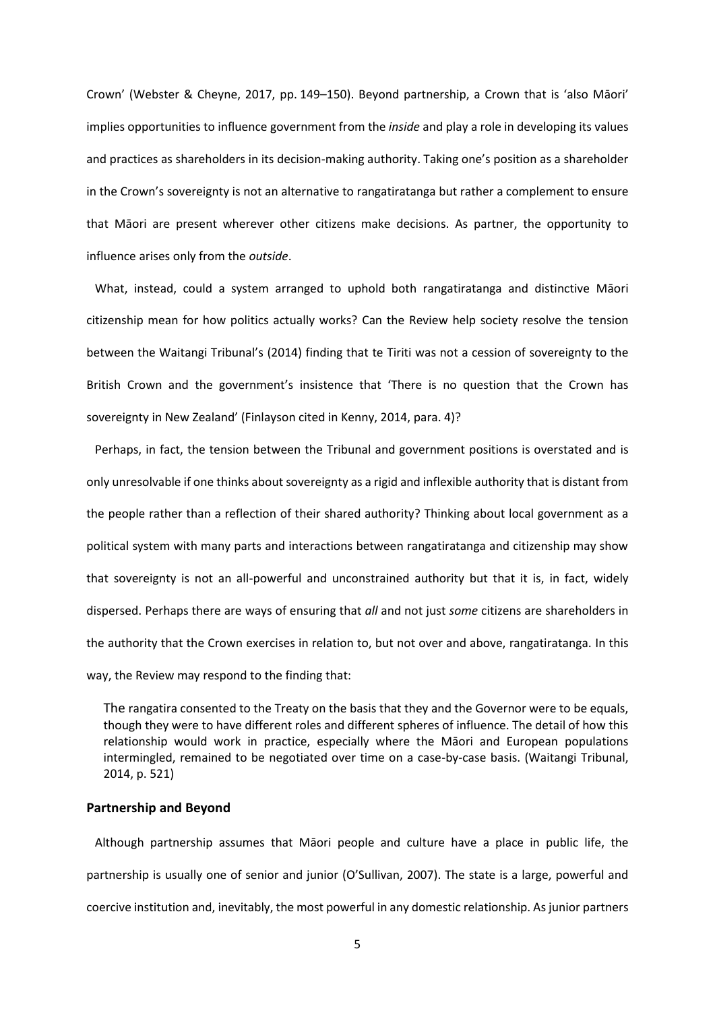Crown' (Webster & Cheyne, 2017, pp. 149–150). Beyond partnership, a Crown that is 'also Māori' implies opportunities to influence government from the *inside* and play a role in developing its values and practices as shareholders in its decision-making authority. Taking one's position as a shareholder in the Crown's sovereignty is not an alternative to rangatiratanga but rather a complement to ensure that Māori are present wherever other citizens make decisions. As partner, the opportunity to influence arises only from the *outside*.

What, instead, could a system arranged to uphold both rangatiratanga and distinctive Māori citizenship mean for how politics actually works? Can the Review help society resolve the tension between the Waitangi Tribunal's (2014) finding that te Tiriti was not a cession of sovereignty to the British Crown and the government's insistence that 'There is no question that the Crown has sovereignty in New Zealand' (Finlayson cited in Kenny, 2014, para. 4)?

Perhaps, in fact, the tension between the Tribunal and government positions is overstated and is only unresolvable if one thinks about sovereignty as a rigid and inflexible authority that is distant from the people rather than a reflection of their shared authority? Thinking about local government as a political system with many parts and interactions between rangatiratanga and citizenship may show that sovereignty is not an all-powerful and unconstrained authority but that it is, in fact, widely dispersed. Perhaps there are ways of ensuring that *all* and not just *some* citizens are shareholders in the authority that the Crown exercises in relation to, but not over and above, rangatiratanga. In this way, the Review may respond to the finding that:

The rangatira consented to the Treaty on the basis that they and the Governor were to be equals, though they were to have different roles and different spheres of influence. The detail of how this relationship would work in practice, especially where the Māori and European populations intermingled, remained to be negotiated over time on a case-by-case basis. (Waitangi Tribunal, 2014, p. 521)

## **Partnership and Beyond**

Although partnership assumes that Māori people and culture have a place in public life, the partnership is usually one of senior and junior (O'Sullivan, 2007). The state is a large, powerful and coercive institution and, inevitably, the most powerful in any domestic relationship. As junior partners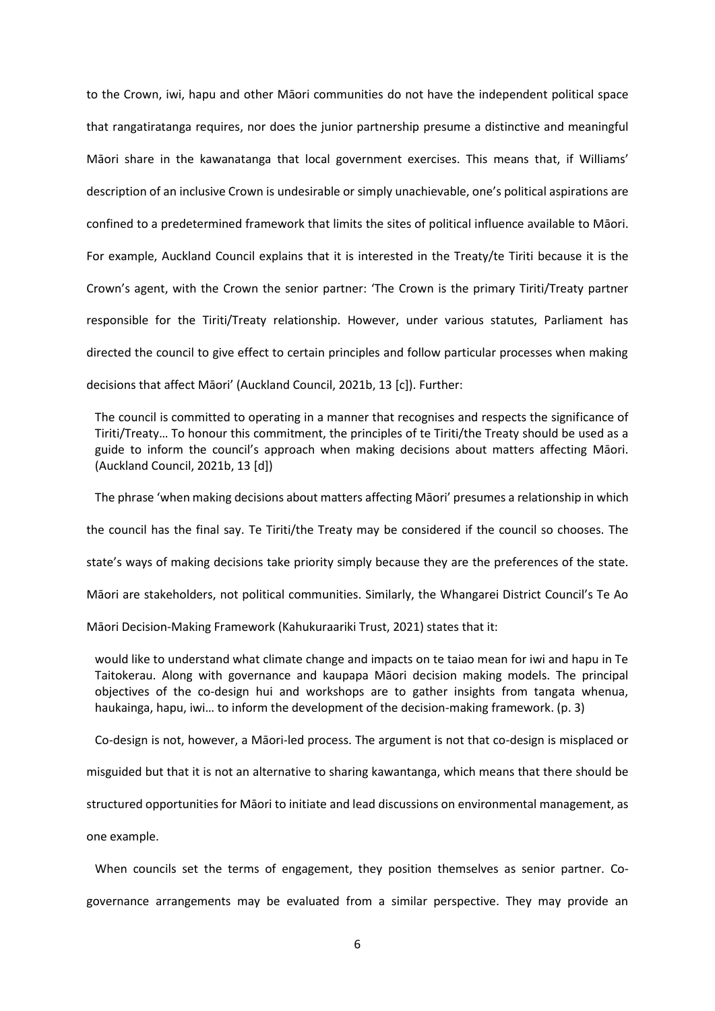to the Crown, iwi, hapu and other Māori communities do not have the independent political space that rangatiratanga requires, nor does the junior partnership presume a distinctive and meaningful Māori share in the kawanatanga that local government exercises. This means that, if Williams' description of an inclusive Crown is undesirable or simply unachievable, one's political aspirations are confined to a predetermined framework that limits the sites of political influence available to Māori. For example, Auckland Council explains that it is interested in the Treaty/te Tiriti because it is the Crown's agent, with the Crown the senior partner: 'The Crown is the primary Tiriti/Treaty partner responsible for the Tiriti/Treaty relationship. However, under various statutes, Parliament has directed the council to give effect to certain principles and follow particular processes when making decisions that affect Māori' (Auckland Council, 2021b, 13 [c]). Further:

The council is committed to operating in a manner that recognises and respects the significance of Tiriti/Treaty… To honour this commitment, the principles of te Tiriti/the Treaty should be used as a guide to inform the council's approach when making decisions about matters affecting Māori. (Auckland Council, 2021b, 13 [d])

The phrase 'when making decisions about matters affecting Māori' presumes a relationship in which the council has the final say. Te Tiriti/the Treaty may be considered if the council so chooses. The state's ways of making decisions take priority simply because they are the preferences of the state. Māori are stakeholders, not political communities. Similarly, the Whangarei District Council's Te Ao

Māori Decision-Making Framework (Kahukuraariki Trust, 2021) states that it:

would like to understand what climate change and impacts on te taiao mean for iwi and hapu in Te Taitokerau. Along with governance and kaupapa Māori decision making models. The principal objectives of the co-design hui and workshops are to gather insights from tangata whenua, haukainga, hapu, iwi… to inform the development of the decision-making framework. (p. 3)

Co-design is not, however, a Māori-led process. The argument is not that co-design is misplaced or

misguided but that it is not an alternative to sharing kawantanga, which means that there should be

structured opportunities for Māori to initiate and lead discussions on environmental management, as

one example.

When councils set the terms of engagement, they position themselves as senior partner. Cogovernance arrangements may be evaluated from a similar perspective. They may provide an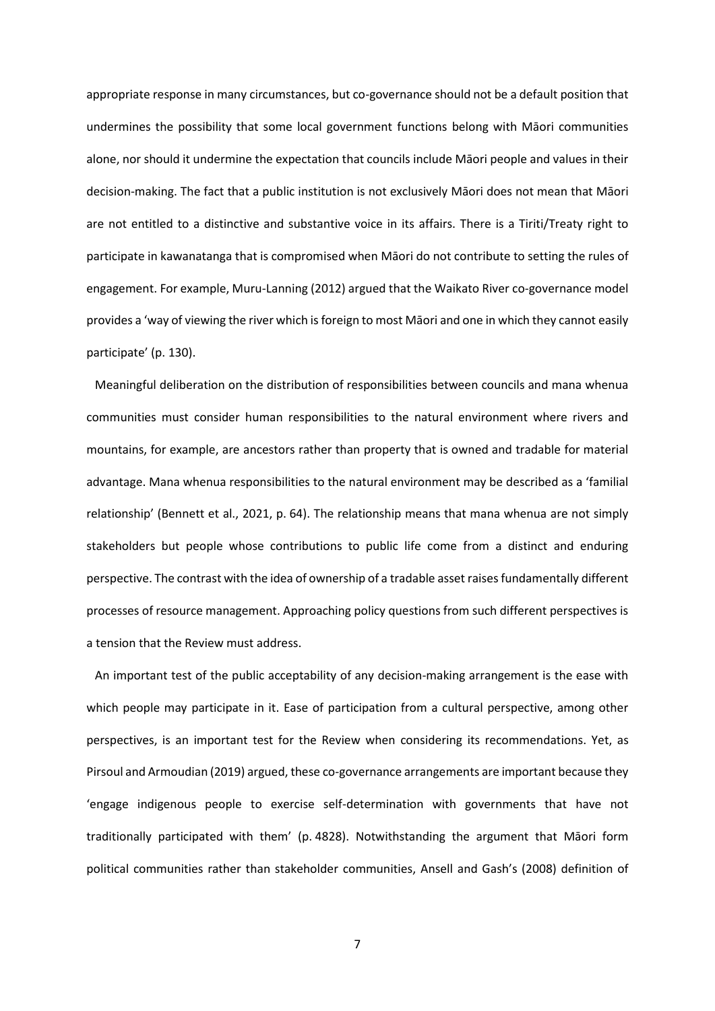appropriate response in many circumstances, but co-governance should not be a default position that undermines the possibility that some local government functions belong with Māori communities alone, nor should it undermine the expectation that councils include Māori people and values in their decision-making. The fact that a public institution is not exclusively Māori does not mean that Māori are not entitled to a distinctive and substantive voice in its affairs. There is a Tiriti/Treaty right to participate in kawanatanga that is compromised when Māori do not contribute to setting the rules of engagement. For example, Muru-Lanning (2012) argued that the Waikato River co-governance model provides a 'way of viewing the river which is foreign to most Māori and one in which they cannot easily participate' (p. 130).

Meaningful deliberation on the distribution of responsibilities between councils and mana whenua communities must consider human responsibilities to the natural environment where rivers and mountains, for example, are ancestors rather than property that is owned and tradable for material advantage. Mana whenua responsibilities to the natural environment may be described as a 'familial relationship' (Bennett et al., 2021, p. 64). The relationship means that mana whenua are not simply stakeholders but people whose contributions to public life come from a distinct and enduring perspective. The contrast with the idea of ownership of a tradable asset raises fundamentally different processes of resource management. Approaching policy questions from such different perspectives is a tension that the Review must address.

An important test of the public acceptability of any decision-making arrangement is the ease with which people may participate in it. Ease of participation from a cultural perspective, among other perspectives, is an important test for the Review when considering its recommendations. Yet, as Pirsoul and Armoudian (2019) argued, these co-governance arrangements are important because they 'engage indigenous people to exercise self-determination with governments that have not traditionally participated with them' (p. 4828). Notwithstanding the argument that Māori form political communities rather than stakeholder communities, Ansell and Gash's (2008) definition of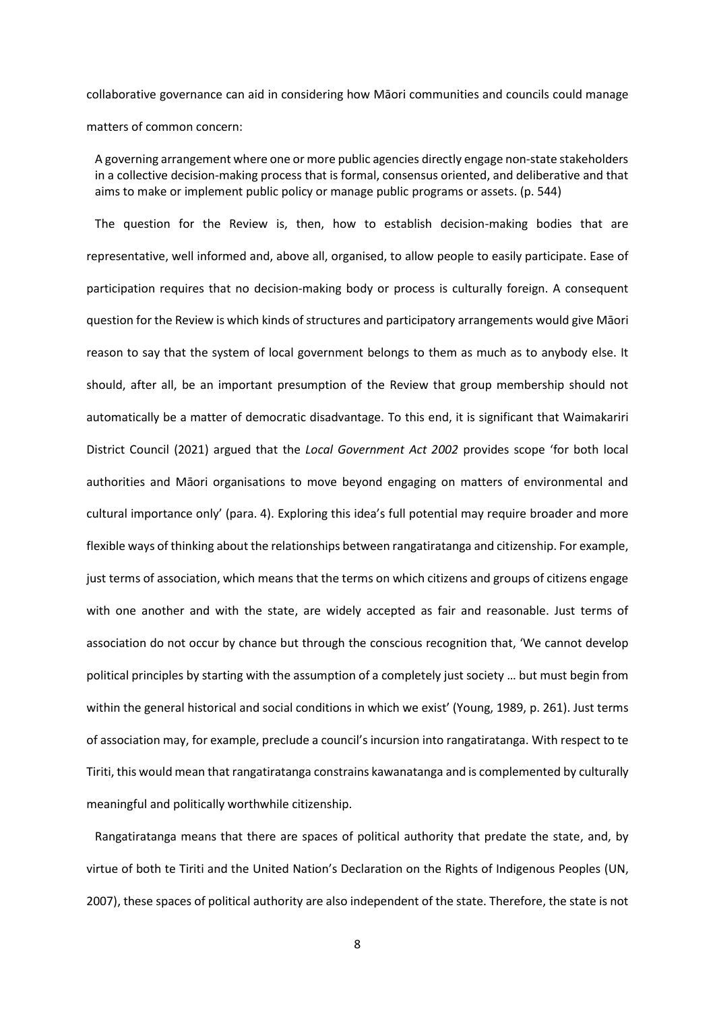collaborative governance can aid in considering how Māori communities and councils could manage matters of common concern:

A governing arrangement where one or more public agencies directly engage non-state stakeholders in a collective decision-making process that is formal, consensus oriented, and deliberative and that aims to make or implement public policy or manage public programs or assets. (p. 544)

The question for the Review is, then, how to establish decision-making bodies that are representative, well informed and, above all, organised, to allow people to easily participate. Ease of participation requires that no decision-making body or process is culturally foreign. A consequent question for the Review is which kinds of structures and participatory arrangements would give Māori reason to say that the system of local government belongs to them as much as to anybody else. It should, after all, be an important presumption of the Review that group membership should not automatically be a matter of democratic disadvantage. To this end, it is significant that Waimakariri District Council (2021) argued that the *Local Government Act 2002* provides scope 'for both local authorities and Māori organisations to move beyond engaging on matters of environmental and cultural importance only' (para. 4). Exploring this idea's full potential may require broader and more flexible ways of thinking about the relationships between rangatiratanga and citizenship. For example, just terms of association, which means that the terms on which citizens and groups of citizens engage with one another and with the state, are widely accepted as fair and reasonable. Just terms of association do not occur by chance but through the conscious recognition that, 'We cannot develop political principles by starting with the assumption of a completely just society … but must begin from within the general historical and social conditions in which we exist' (Young, 1989, p. 261). Just terms of association may, for example, preclude a council's incursion into rangatiratanga. With respect to te Tiriti, this would mean that rangatiratanga constrains kawanatanga and is complemented by culturally meaningful and politically worthwhile citizenship.

Rangatiratanga means that there are spaces of political authority that predate the state, and, by virtue of both te Tiriti and the United Nation's Declaration on the Rights of Indigenous Peoples (UN, 2007), these spaces of political authority are also independent of the state. Therefore, the state is not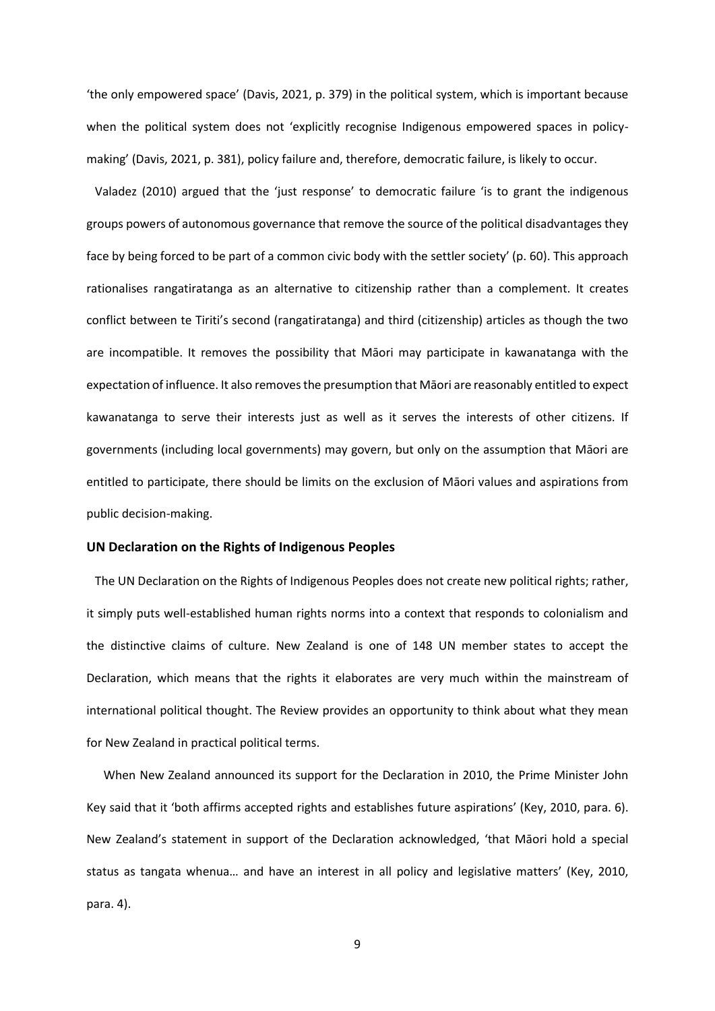'the only empowered space' (Davis, 2021, p. 379) in the political system, which is important because when the political system does not 'explicitly recognise Indigenous empowered spaces in policymaking' (Davis, 2021, p. 381), policy failure and, therefore, democratic failure, is likely to occur.

Valadez (2010) argued that the 'just response' to democratic failure 'is to grant the indigenous groups powers of autonomous governance that remove the source of the political disadvantages they face by being forced to be part of a common civic body with the settler society' (p. 60). This approach rationalises rangatiratanga as an alternative to citizenship rather than a complement. It creates conflict between te Tiriti's second (rangatiratanga) and third (citizenship) articles as though the two are incompatible. It removes the possibility that Māori may participate in kawanatanga with the expectation of influence. It also removes the presumption that Māori are reasonably entitled to expect kawanatanga to serve their interests just as well as it serves the interests of other citizens. If governments (including local governments) may govern, but only on the assumption that Māori are entitled to participate, there should be limits on the exclusion of Māori values and aspirations from public decision-making.

## **UN Declaration on the Rights of Indigenous Peoples**

The UN Declaration on the Rights of Indigenous Peoples does not create new political rights; rather, it simply puts well-established human rights norms into a context that responds to colonialism and the distinctive claims of culture. New Zealand is one of 148 UN member states to accept the Declaration, which means that the rights it elaborates are very much within the mainstream of international political thought. The Review provides an opportunity to think about what they mean for New Zealand in practical political terms.

When New Zealand announced its support for the Declaration in 2010, the Prime Minister John Key said that it 'both affirms accepted rights and establishes future aspirations' (Key, 2010, para. 6). New Zealand's statement in support of the Declaration acknowledged, 'that Māori hold a special status as tangata whenua… and have an interest in all policy and legislative matters' (Key, 2010, para. 4).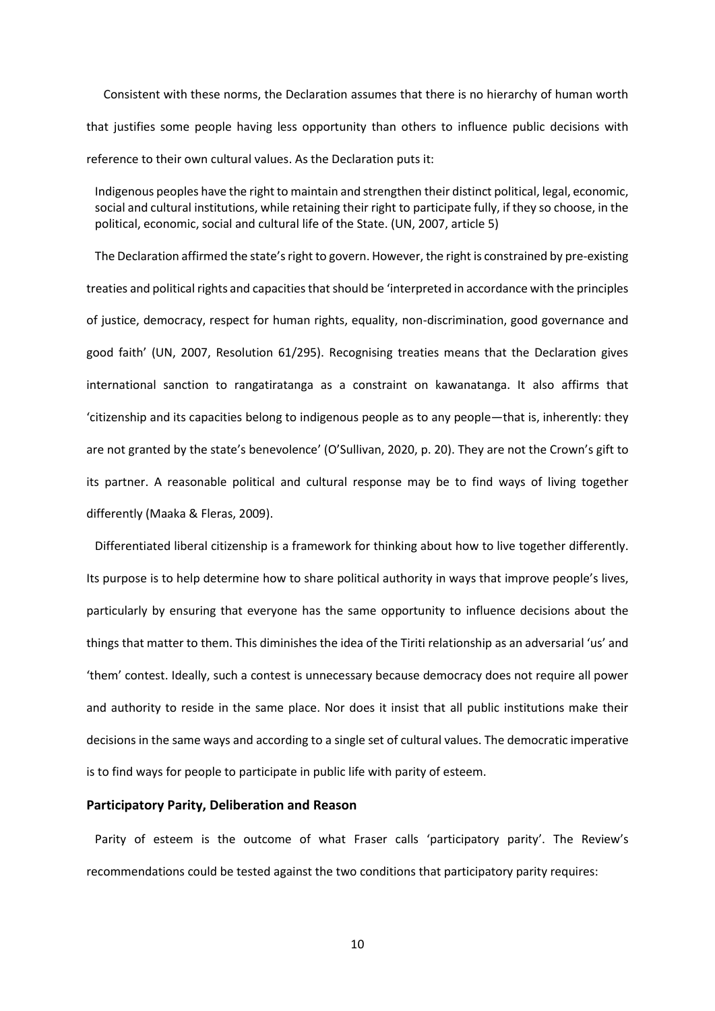Consistent with these norms, the Declaration assumes that there is no hierarchy of human worth that justifies some people having less opportunity than others to influence public decisions with reference to their own cultural values. As the Declaration puts it:

Indigenous peoples have the right to maintain and strengthen their distinct political, legal, economic, social and cultural institutions, while retaining their right to participate fully, if they so choose, in the political, economic, social and cultural life of the State. (UN, 2007, article 5)

The Declaration affirmed the state's right to govern. However, the right is constrained by pre-existing treaties and political rights and capacities that should be 'interpreted in accordance with the principles of justice, democracy, respect for human rights, equality, non-discrimination, good governance and good faith' (UN, 2007, Resolution 61/295). Recognising treaties means that the Declaration gives international sanction to rangatiratanga as a constraint on kawanatanga. It also affirms that 'citizenship and its capacities belong to indigenous people as to any people—that is, inherently: they are not granted by the state's benevolence' (O'Sullivan, 2020, p. 20). They are not the Crown's gift to its partner. A reasonable political and cultural response may be to find ways of living together differently (Maaka & Fleras, 2009).

Differentiated liberal citizenship is a framework for thinking about how to live together differently. Its purpose is to help determine how to share political authority in ways that improve people's lives, particularly by ensuring that everyone has the same opportunity to influence decisions about the things that matter to them. This diminishes the idea of the Tiriti relationship as an adversarial 'us' and 'them' contest. Ideally, such a contest is unnecessary because democracy does not require all power and authority to reside in the same place. Nor does it insist that all public institutions make their decisions in the same ways and according to a single set of cultural values. The democratic imperative is to find ways for people to participate in public life with parity of esteem.

### **Participatory Parity, Deliberation and Reason**

Parity of esteem is the outcome of what Fraser calls 'participatory parity'. The Review's recommendations could be tested against the two conditions that participatory parity requires: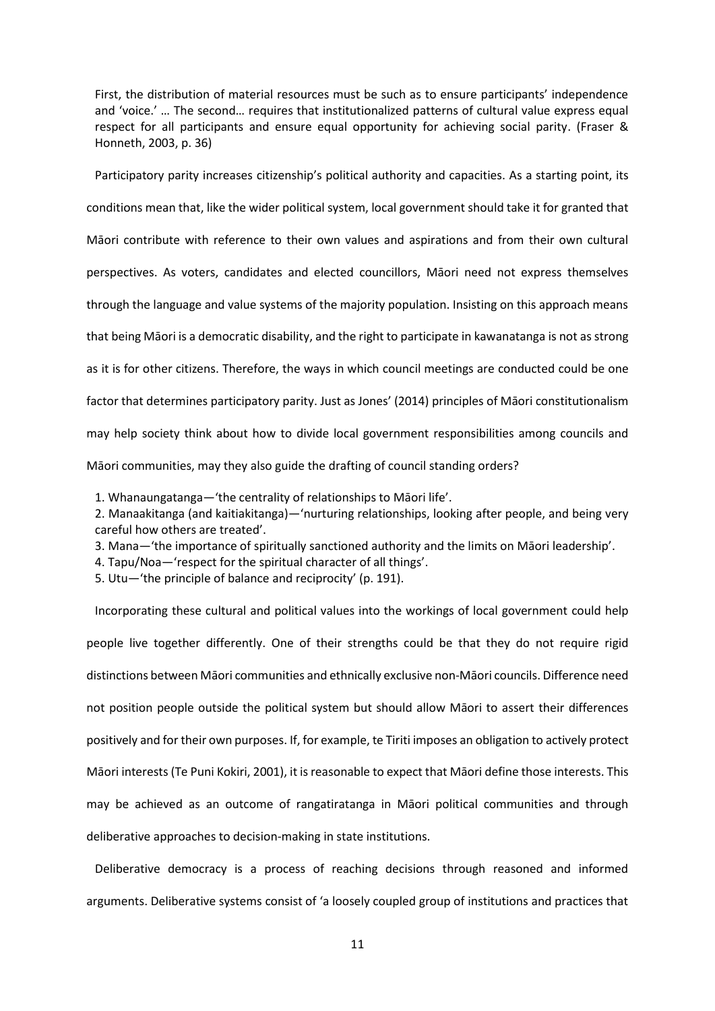First, the distribution of material resources must be such as to ensure participants' independence and 'voice.' … The second… requires that institutionalized patterns of cultural value express equal respect for all participants and ensure equal opportunity for achieving social parity. (Fraser & Honneth, 2003, p. 36)

Participatory parity increases citizenship's political authority and capacities. As a starting point, its conditions mean that, like the wider political system, local government should take it for granted that Māori contribute with reference to their own values and aspirations and from their own cultural perspectives. As voters, candidates and elected councillors, Māori need not express themselves through the language and value systems of the majority population. Insisting on this approach means that being Māori is a democratic disability, and the right to participate in kawanatanga is not as strong as it is for other citizens. Therefore, the ways in which council meetings are conducted could be one factor that determines participatory parity. Just as Jones' (2014) principles of Māori constitutionalism may help society think about how to divide local government responsibilities among councils and Māori communities, may they also guide the drafting of council standing orders?

1. Whanaungatanga—'the centrality of relationships to Māori life'.

2. Manaakitanga (and kaitiakitanga)—'nurturing relationships, looking after people, and being very careful how others are treated'.

3. Mana—'the importance of spiritually sanctioned authority and the limits on Māori leadership'.

4. Tapu/Noa—'respect for the spiritual character of all things'.

5. Utu—'the principle of balance and reciprocity' (p. 191).

Incorporating these cultural and political values into the workings of local government could help people live together differently. One of their strengths could be that they do not require rigid distinctions between Māori communities and ethnically exclusive non-Māori councils. Difference need not position people outside the political system but should allow Māori to assert their differences positively and for their own purposes. If, for example, te Tiriti imposes an obligation to actively protect Māori interests (Te Puni Kokiri, 2001), it isreasonable to expect that Māori define those interests. This may be achieved as an outcome of rangatiratanga in Māori political communities and through deliberative approaches to decision-making in state institutions.

Deliberative democracy is a process of reaching decisions through reasoned and informed arguments. Deliberative systems consist of 'a loosely coupled group of institutions and practices that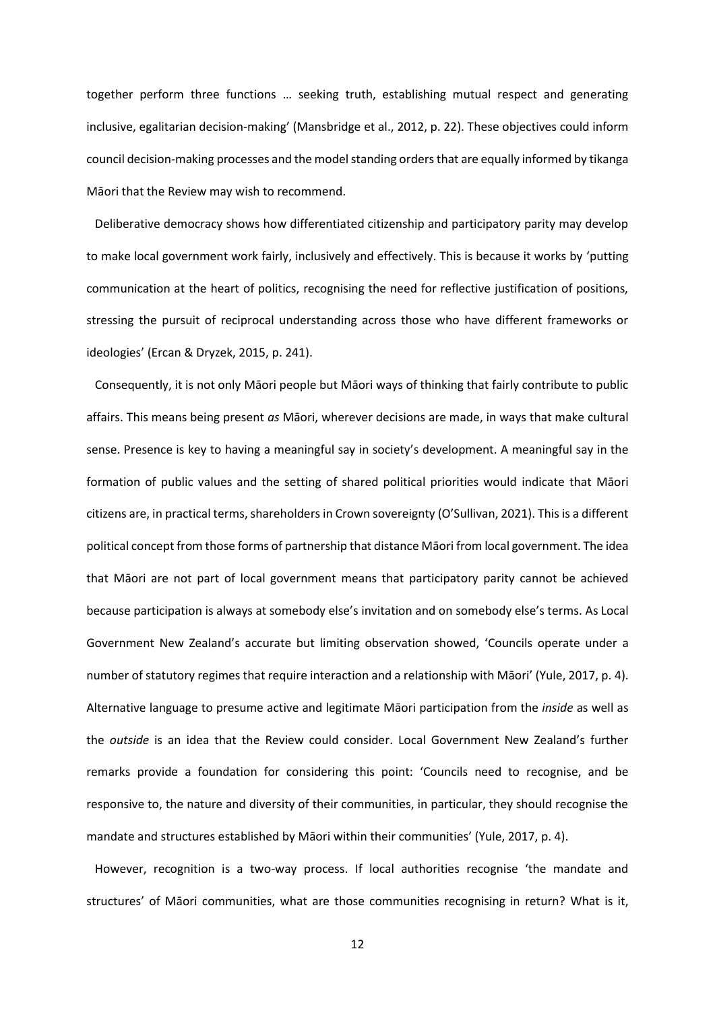together perform three functions … seeking truth, establishing mutual respect and generating inclusive, egalitarian decision-making' (Mansbridge et al., 2012, p. 22). These objectives could inform council decision-making processes and the model standing orders that are equally informed by tikanga Māori that the Review may wish to recommend.

Deliberative democracy shows how differentiated citizenship and participatory parity may develop to make local government work fairly, inclusively and effectively. This is because it works by 'putting communication at the heart of politics, recognising the need for reflective justification of positions, stressing the pursuit of reciprocal understanding across those who have different frameworks or ideologies' (Ercan & Dryzek, 2015, p. 241).

Consequently, it is not only Māori people but Māori ways of thinking that fairly contribute to public affairs. This means being present *as* Māori, wherever decisions are made, in ways that make cultural sense. Presence is key to having a meaningful say in society's development. A meaningful say in the formation of public values and the setting of shared political priorities would indicate that Māori citizens are, in practical terms, shareholders in Crown sovereignty (O'Sullivan, 2021). This is a different political concept from those forms of partnership that distance Māori from local government. The idea that Māori are not part of local government means that participatory parity cannot be achieved because participation is always at somebody else's invitation and on somebody else's terms. As Local Government New Zealand's accurate but limiting observation showed, 'Councils operate under a number of statutory regimes that require interaction and a relationship with Māori' (Yule, 2017, p. 4). Alternative language to presume active and legitimate Māori participation from the *inside* as well as the *outside* is an idea that the Review could consider. Local Government New Zealand's further remarks provide a foundation for considering this point: 'Councils need to recognise, and be responsive to, the nature and diversity of their communities, in particular, they should recognise the mandate and structures established by Māori within their communities' (Yule, 2017, p. 4).

However, recognition is a two-way process. If local authorities recognise 'the mandate and structures' of Māori communities, what are those communities recognising in return? What is it,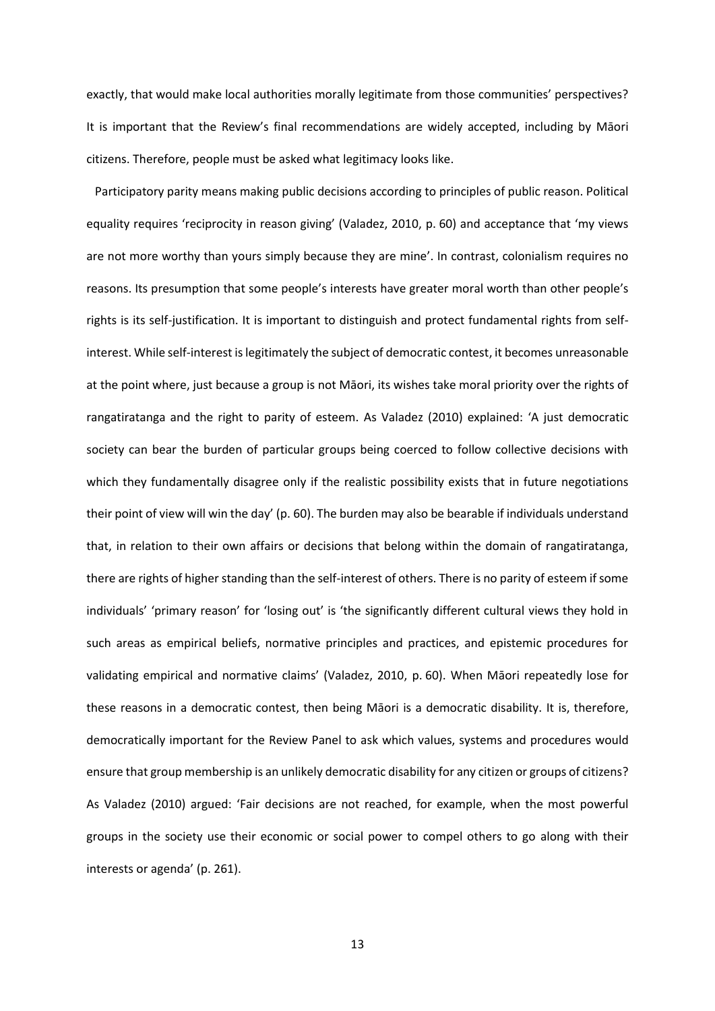exactly, that would make local authorities morally legitimate from those communities' perspectives? It is important that the Review's final recommendations are widely accepted, including by Māori citizens. Therefore, people must be asked what legitimacy looks like.

Participatory parity means making public decisions according to principles of public reason. Political equality requires 'reciprocity in reason giving' (Valadez, 2010, p. 60) and acceptance that 'my views are not more worthy than yours simply because they are mine'. In contrast, colonialism requires no reasons. Its presumption that some people's interests have greater moral worth than other people's rights is its self-justification. It is important to distinguish and protect fundamental rights from selfinterest. While self-interest is legitimately the subject of democratic contest, it becomes unreasonable at the point where, just because a group is not Māori, its wishes take moral priority over the rights of rangatiratanga and the right to parity of esteem. As Valadez (2010) explained: 'A just democratic society can bear the burden of particular groups being coerced to follow collective decisions with which they fundamentally disagree only if the realistic possibility exists that in future negotiations their point of view will win the day' (p. 60). The burden may also be bearable if individuals understand that, in relation to their own affairs or decisions that belong within the domain of rangatiratanga, there are rights of higher standing than the self-interest of others. There is no parity of esteem if some individuals' 'primary reason' for 'losing out' is 'the significantly different cultural views they hold in such areas as empirical beliefs, normative principles and practices, and epistemic procedures for validating empirical and normative claims' (Valadez, 2010, p. 60). When Māori repeatedly lose for these reasons in a democratic contest, then being Māori is a democratic disability. It is, therefore, democratically important for the Review Panel to ask which values, systems and procedures would ensure that group membership is an unlikely democratic disability for any citizen or groups of citizens? As Valadez (2010) argued: 'Fair decisions are not reached, for example, when the most powerful groups in the society use their economic or social power to compel others to go along with their interests or agenda' (p. 261).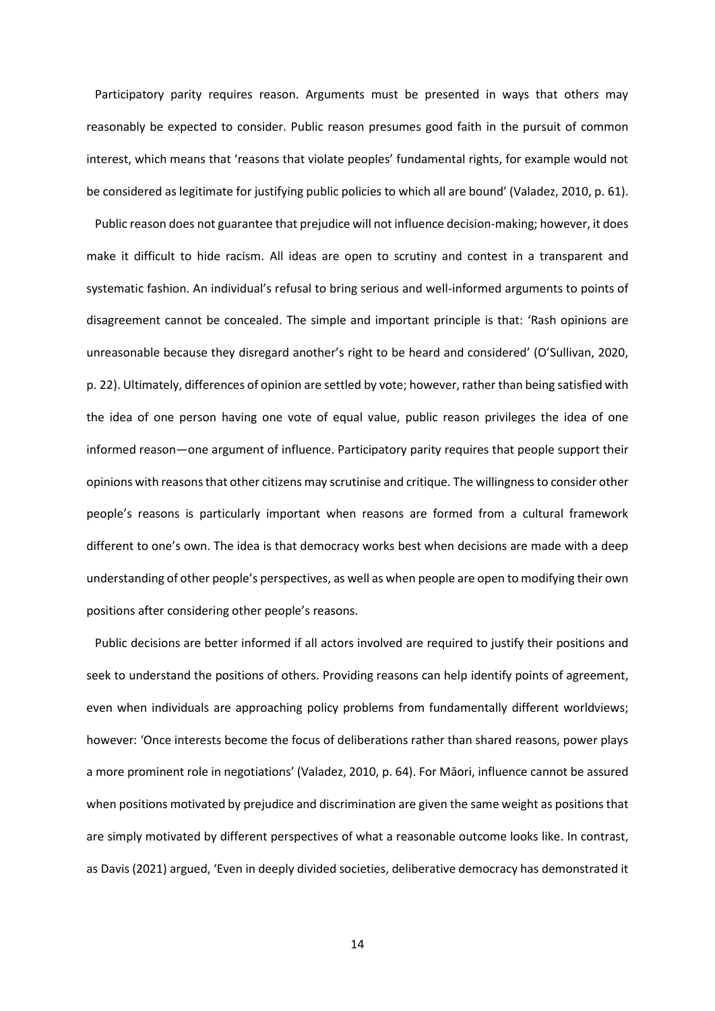Participatory parity requires reason. Arguments must be presented in ways that others may reasonably be expected to consider. Public reason presumes good faith in the pursuit of common interest, which means that 'reasons that violate peoples' fundamental rights, for example would not be considered as legitimate for justifying public policies to which all are bound' (Valadez, 2010, p. 61).

Public reason does not guarantee that prejudice will not influence decision-making; however, it does make it difficult to hide racism. All ideas are open to scrutiny and contest in a transparent and systematic fashion. An individual's refusal to bring serious and well-informed arguments to points of disagreement cannot be concealed. The simple and important principle is that: 'Rash opinions are unreasonable because they disregard another's right to be heard and considered' (O'Sullivan, 2020, p. 22). Ultimately, differences of opinion are settled by vote; however, rather than being satisfied with the idea of one person having one vote of equal value, public reason privileges the idea of one informed reason—one argument of influence. Participatory parity requires that people support their opinions with reasons that other citizens may scrutinise and critique. The willingness to consider other people's reasons is particularly important when reasons are formed from a cultural framework different to one's own. The idea is that democracy works best when decisions are made with a deep understanding of other people's perspectives, as well as when people are open to modifying their own positions after considering other people's reasons.

Public decisions are better informed if all actors involved are required to justify their positions and seek to understand the positions of others. Providing reasons can help identify points of agreement, even when individuals are approaching policy problems from fundamentally different worldviews; however: 'Once interests become the focus of deliberations rather than shared reasons, power plays a more prominent role in negotiations' (Valadez, 2010, p. 64). For Māori, influence cannot be assured when positions motivated by prejudice and discrimination are given the same weight as positions that are simply motivated by different perspectives of what a reasonable outcome looks like. In contrast, as Davis (2021) argued, 'Even in deeply divided societies, deliberative democracy has demonstrated it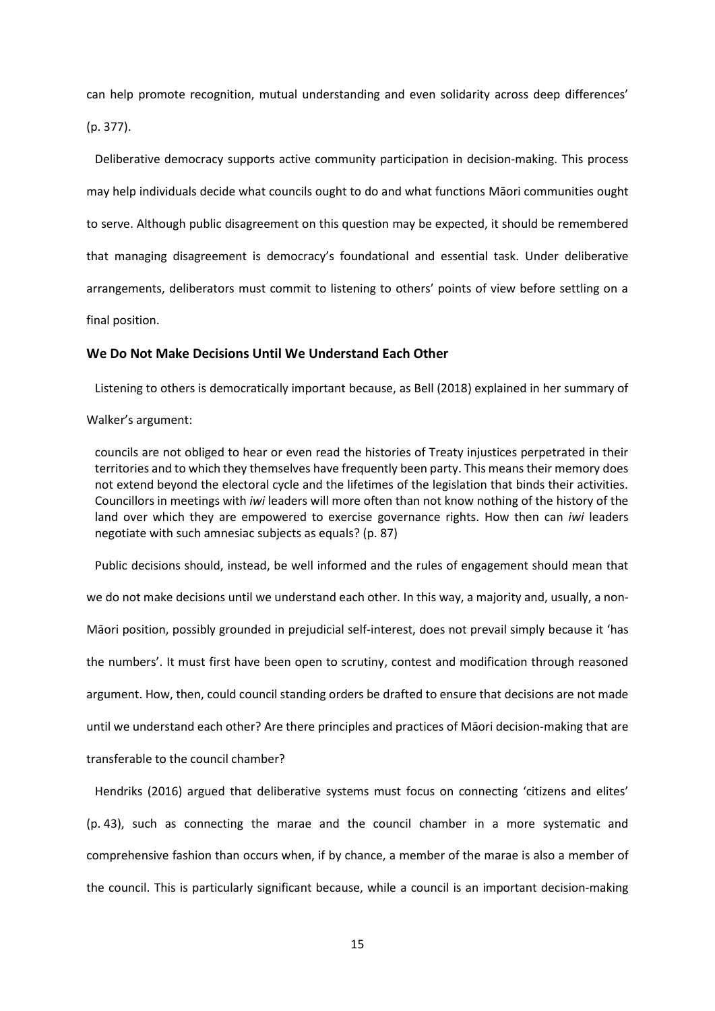can help promote recognition, mutual understanding and even solidarity across deep differences' (p. 377).

Deliberative democracy supports active community participation in decision-making. This process may help individuals decide what councils ought to do and what functions Māori communities ought to serve. Although public disagreement on this question may be expected, it should be remembered that managing disagreement is democracy's foundational and essential task. Under deliberative arrangements, deliberators must commit to listening to others' points of view before settling on a final position.

## **We Do Not Make Decisions Until We Understand Each Other**

Listening to others is democratically important because, as Bell (2018) explained in her summary of

#### Walker's argument:

councils are not obliged to hear or even read the histories of Treaty injustices perpetrated in their territories and to which they themselves have frequently been party. This means their memory does not extend beyond the electoral cycle and the lifetimes of the legislation that binds their activities. Councillors in meetings with *iwi* leaders will more often than not know nothing of the history of the land over which they are empowered to exercise governance rights. How then can *iwi* leaders negotiate with such amnesiac subjects as equals? (p. 87)

Public decisions should, instead, be well informed and the rules of engagement should mean that we do not make decisions until we understand each other. In this way, a majority and, usually, a non-Māori position, possibly grounded in prejudicial self-interest, does not prevail simply because it 'has the numbers'. It must first have been open to scrutiny, contest and modification through reasoned argument. How, then, could council standing orders be drafted to ensure that decisions are not made until we understand each other? Are there principles and practices of Māori decision-making that are transferable to the council chamber?

Hendriks (2016) argued that deliberative systems must focus on connecting 'citizens and elites' (p. 43), such as connecting the marae and the council chamber in a more systematic and comprehensive fashion than occurs when, if by chance, a member of the marae is also a member of the council. This is particularly significant because, while a council is an important decision-making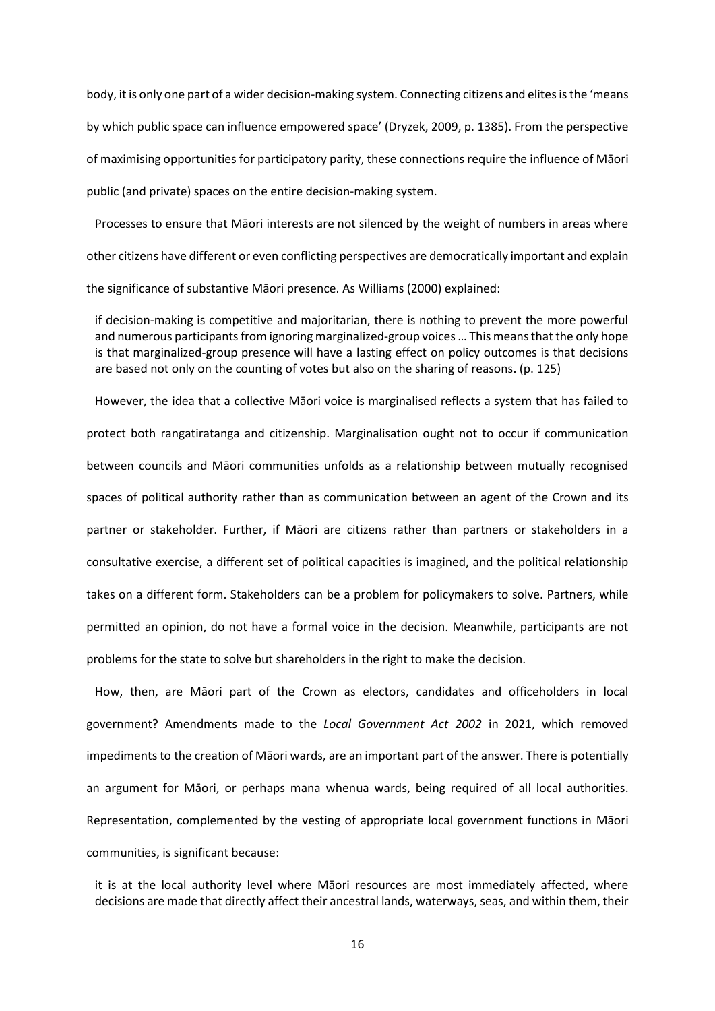body, it is only one part of a wider decision-making system. Connecting citizens and elites is the 'means by which public space can influence empowered space' (Dryzek, 2009, p. 1385). From the perspective of maximising opportunities for participatory parity, these connections require the influence of Māori public (and private) spaces on the entire decision-making system.

Processes to ensure that Māori interests are not silenced by the weight of numbers in areas where other citizens have different or even conflicting perspectives are democratically important and explain the significance of substantive Māori presence. As Williams (2000) explained:

if decision-making is competitive and majoritarian, there is nothing to prevent the more powerful and numerous participants from ignoring marginalized-group voices… This means that the only hope is that marginalized-group presence will have a lasting effect on policy outcomes is that decisions are based not only on the counting of votes but also on the sharing of reasons. (p. 125)

However, the idea that a collective Māori voice is marginalised reflects a system that has failed to protect both rangatiratanga and citizenship. Marginalisation ought not to occur if communication between councils and Māori communities unfolds as a relationship between mutually recognised spaces of political authority rather than as communication between an agent of the Crown and its partner or stakeholder. Further, if Māori are citizens rather than partners or stakeholders in a consultative exercise, a different set of political capacities is imagined, and the political relationship takes on a different form. Stakeholders can be a problem for policymakers to solve. Partners, while permitted an opinion, do not have a formal voice in the decision. Meanwhile, participants are not problems for the state to solve but shareholders in the right to make the decision.

How, then, are Māori part of the Crown as electors, candidates and officeholders in local government? Amendments made to the *Local Government Act 2002* in 2021, which removed impediments to the creation of Māori wards, are an important part of the answer. There is potentially an argument for Māori, or perhaps mana whenua wards, being required of all local authorities. Representation, complemented by the vesting of appropriate local government functions in Māori communities, is significant because:

it is at the local authority level where Māori resources are most immediately affected, where decisions are made that directly affect their ancestral lands, waterways, seas, and within them, their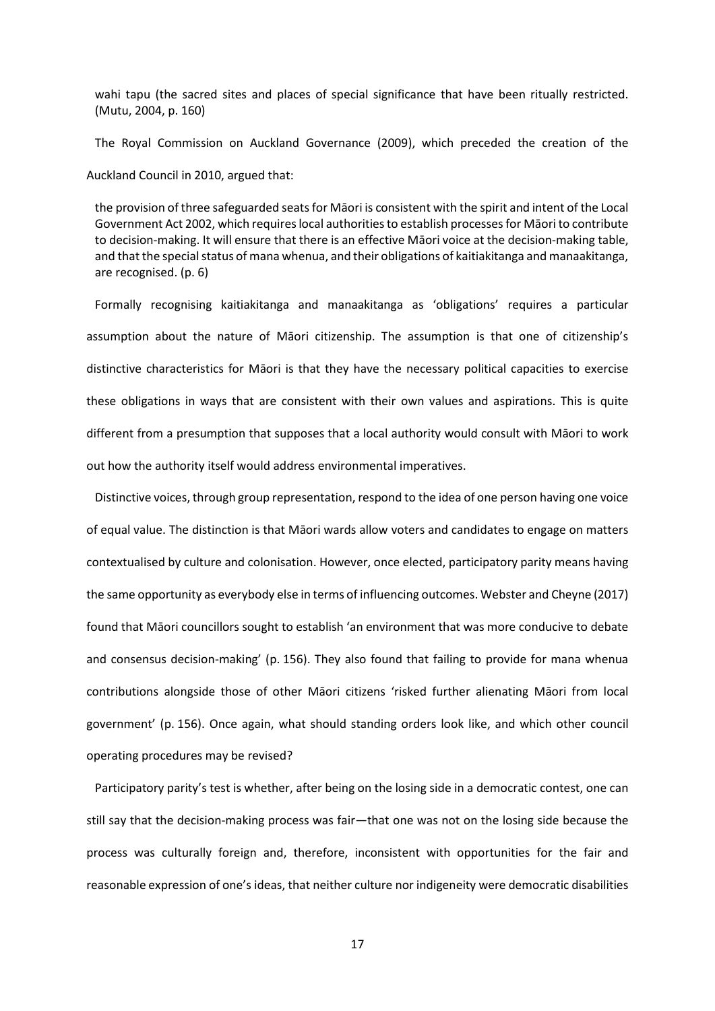wahi tapu (the sacred sites and places of special significance that have been ritually restricted. (Mutu, 2004, p. 160)

The Royal Commission on Auckland Governance (2009), which preceded the creation of the Auckland Council in 2010, argued that:

the provision of three safeguarded seats for Māori is consistent with the spirit and intent of the Local Government Act 2002, which requires local authorities to establish processes for Māori to contribute to decision-making. It will ensure that there is an effective Māori voice at the decision-making table, and that the special status of mana whenua, and their obligations of kaitiakitanga and manaakitanga, are recognised. (p. 6)

Formally recognising kaitiakitanga and manaakitanga as 'obligations' requires a particular assumption about the nature of Māori citizenship. The assumption is that one of citizenship's distinctive characteristics for Māori is that they have the necessary political capacities to exercise these obligations in ways that are consistent with their own values and aspirations. This is quite different from a presumption that supposes that a local authority would consult with Māori to work out how the authority itself would address environmental imperatives.

Distinctive voices, through group representation, respond to the idea of one person having one voice of equal value. The distinction is that Māori wards allow voters and candidates to engage on matters contextualised by culture and colonisation. However, once elected, participatory parity means having the same opportunity as everybody else in terms of influencing outcomes. Webster and Cheyne (2017) found that Māori councillors sought to establish 'an environment that was more conducive to debate and consensus decision-making' (p. 156). They also found that failing to provide for mana whenua contributions alongside those of other Māori citizens 'risked further alienating Māori from local government' (p. 156). Once again, what should standing orders look like, and which other council operating procedures may be revised?

Participatory parity's test is whether, after being on the losing side in a democratic contest, one can still say that the decision-making process was fair—that one was not on the losing side because the process was culturally foreign and, therefore, inconsistent with opportunities for the fair and reasonable expression of one's ideas, that neither culture nor indigeneity were democratic disabilities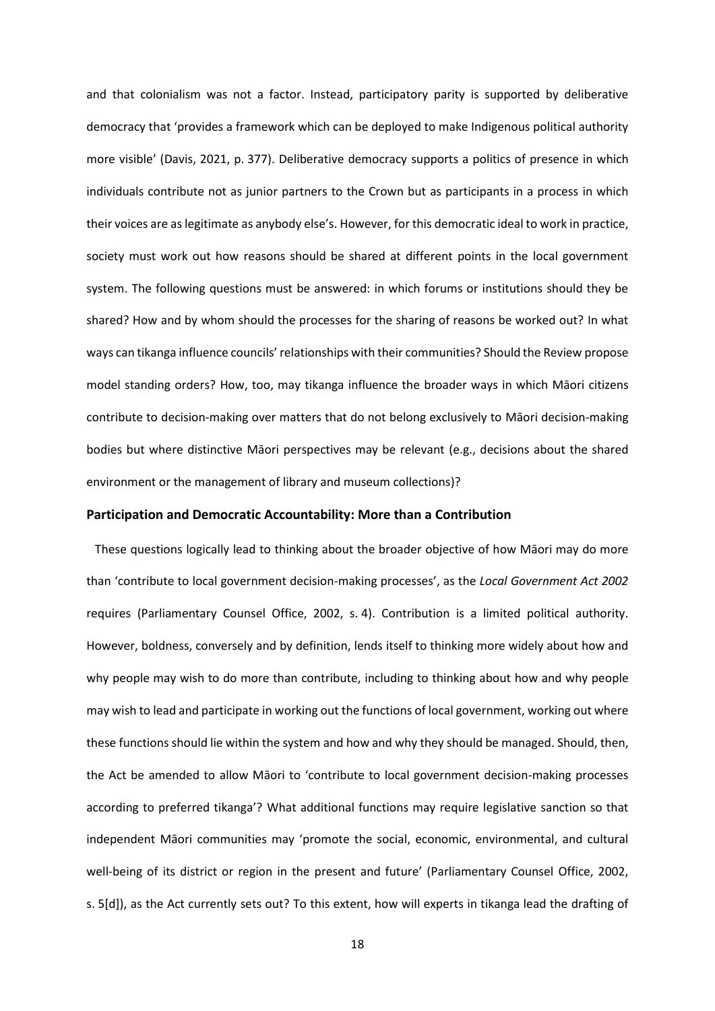and that colonialism was not a factor. Instead, participatory parity is supported by deliberative democracy that 'provides a framework which can be deployed to make Indigenous political authority more visible' (Davis, 2021, p. 377). Deliberative democracy supports a politics of presence in which individuals contribute not as junior partners to the Crown but as participants in a process in which their voices are as legitimate as anybody else's. However, for this democratic ideal to work in practice, society must work out how reasons should be shared at different points in the local government system. The following questions must be answered: in which forums or institutions should they be shared? How and by whom should the processes for the sharing of reasons be worked out? In what ways can tikanga influence councils'relationships with their communities? Should the Review propose model standing orders? How, too, may tikanga influence the broader ways in which Māori citizens contribute to decision-making over matters that do not belong exclusively to Māori decision-making bodies but where distinctive Māori perspectives may be relevant (e.g., decisions about the shared environment or the management of library and museum collections)?

#### **Participation and Democratic Accountability: More than a Contribution**

These questions logically lead to thinking about the broader objective of how Māori may do more than 'contribute to local government decision-making processes', as the *Local Government Act 2002* requires (Parliamentary Counsel Office, 2002, s. 4). Contribution is a limited political authority. However, boldness, conversely and by definition, lends itself to thinking more widely about how and why people may wish to do more than contribute, including to thinking about how and why people may wish to lead and participate in working out the functions of local government, working out where these functions should lie within the system and how and why they should be managed. Should, then, the Act be amended to allow Māori to 'contribute to local government decision-making processes according to preferred tikanga'? What additional functions may require legislative sanction so that independent Māori communities may 'promote the social, economic, environmental, and cultural well-being of its district or region in the present and future' (Parliamentary Counsel Office, 2002, s. 5[d]), as the Act currently sets out? To this extent, how will experts in tikanga lead the drafting of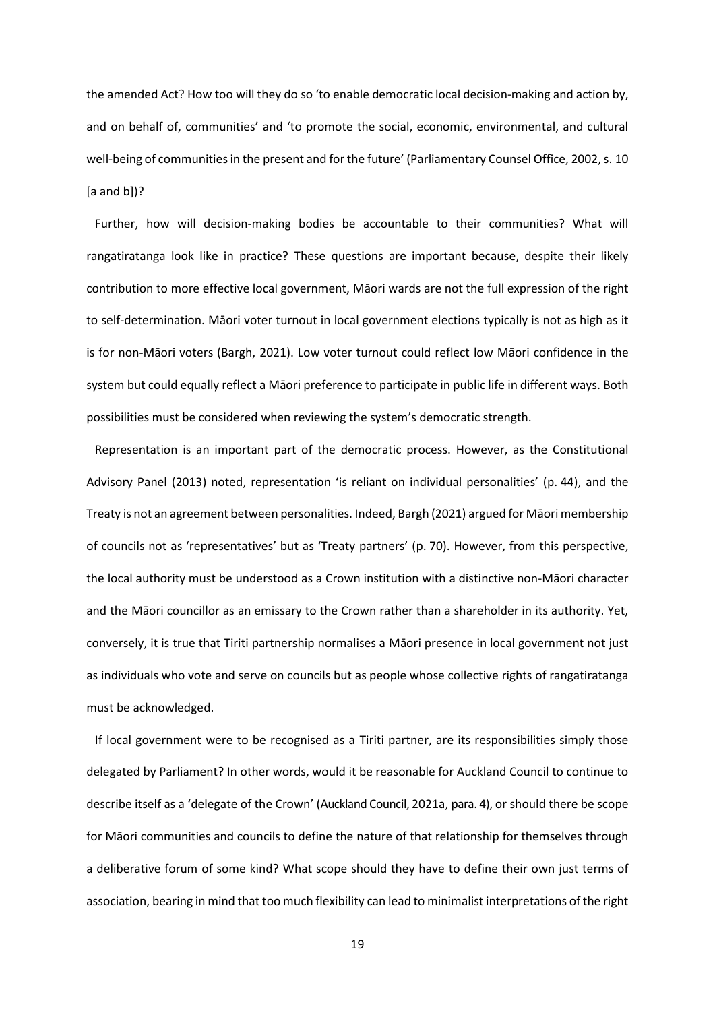the amended Act? How too will they do so 'to enable democratic local decision-making and action by, and on behalf of, communities' and 'to promote the social, economic, environmental, and cultural well-being of communities in the present and for the future' (Parliamentary Counsel Office, 2002, s. 10 [a and b])?

Further, how will decision-making bodies be accountable to their communities? What will rangatiratanga look like in practice? These questions are important because, despite their likely contribution to more effective local government, Māori wards are not the full expression of the right to self-determination. Māori voter turnout in local government elections typically is not as high as it is for non-Māori voters (Bargh, 2021). Low voter turnout could reflect low Māori confidence in the system but could equally reflect a Māori preference to participate in public life in different ways. Both possibilities must be considered when reviewing the system's democratic strength.

Representation is an important part of the democratic process. However, as the Constitutional Advisory Panel (2013) noted, representation 'is reliant on individual personalities' (p. 44), and the Treaty is not an agreement between personalities. Indeed, Bargh (2021) argued for Māori membership of councils not as 'representatives' but as 'Treaty partners' (p. 70). However, from this perspective, the local authority must be understood as a Crown institution with a distinctive non-Māori character and the Māori councillor as an emissary to the Crown rather than a shareholder in its authority. Yet, conversely, it is true that Tiriti partnership normalises a Māori presence in local government not just as individuals who vote and serve on councils but as people whose collective rights of rangatiratanga must be acknowledged.

If local government were to be recognised as a Tiriti partner, are its responsibilities simply those delegated by Parliament? In other words, would it be reasonable for Auckland Council to continue to describe itself as a 'delegate of the Crown' (Auckland Council, 2021a, para. 4), or should there be scope for Māori communities and councils to define the nature of that relationship for themselves through a deliberative forum of some kind? What scope should they have to define their own just terms of association, bearing in mind that too much flexibility can lead to minimalist interpretations of the right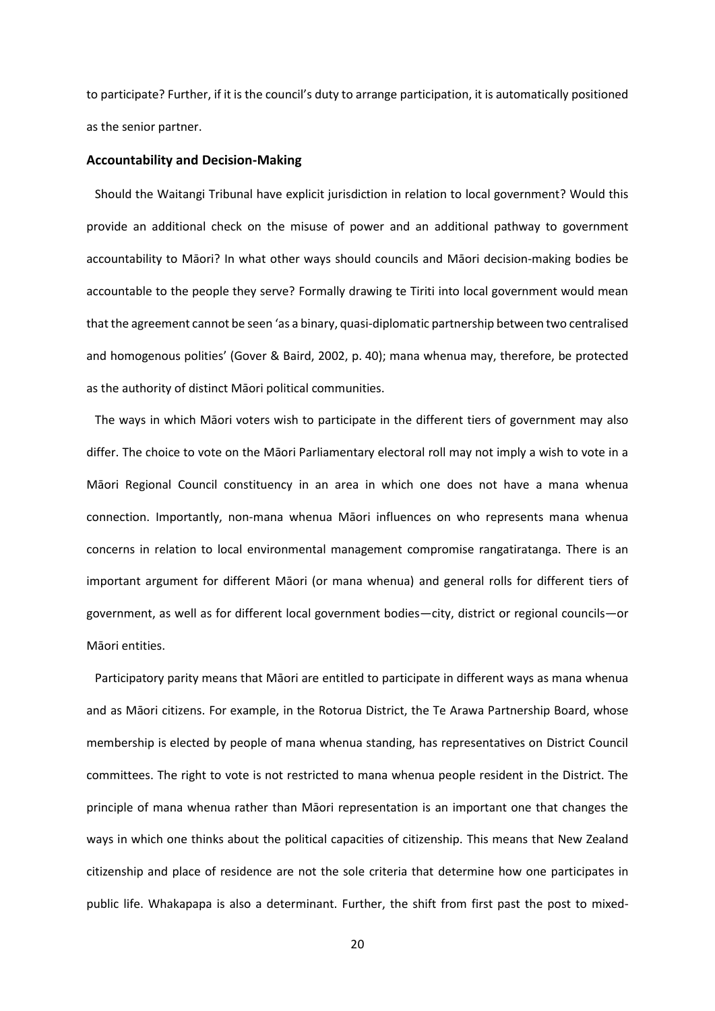to participate? Further, if it is the council's duty to arrange participation, it is automatically positioned as the senior partner.

#### **Accountability and Decision-Making**

Should the Waitangi Tribunal have explicit jurisdiction in relation to local government? Would this provide an additional check on the misuse of power and an additional pathway to government accountability to Māori? In what other ways should councils and Māori decision-making bodies be accountable to the people they serve? Formally drawing te Tiriti into local government would mean that the agreement cannot be seen 'as a binary, quasi-diplomatic partnership between two centralised and homogenous polities' (Gover & Baird, 2002, p. 40); mana whenua may, therefore, be protected as the authority of distinct Māori political communities.

The ways in which Māori voters wish to participate in the different tiers of government may also differ. The choice to vote on the Māori Parliamentary electoral roll may not imply a wish to vote in a Māori Regional Council constituency in an area in which one does not have a mana whenua connection. Importantly, non-mana whenua Māori influences on who represents mana whenua concerns in relation to local environmental management compromise rangatiratanga. There is an important argument for different Māori (or mana whenua) and general rolls for different tiers of government, as well as for different local government bodies—city, district or regional councils—or Māori entities.

Participatory parity means that Māori are entitled to participate in different ways as mana whenua and as Māori citizens. For example, in the Rotorua District, the Te Arawa Partnership Board, whose membership is elected by people of mana whenua standing, has representatives on District Council committees. The right to vote is not restricted to mana whenua people resident in the District. The principle of mana whenua rather than Māori representation is an important one that changes the ways in which one thinks about the political capacities of citizenship. This means that New Zealand citizenship and place of residence are not the sole criteria that determine how one participates in public life. Whakapapa is also a determinant. Further, the shift from first past the post to mixed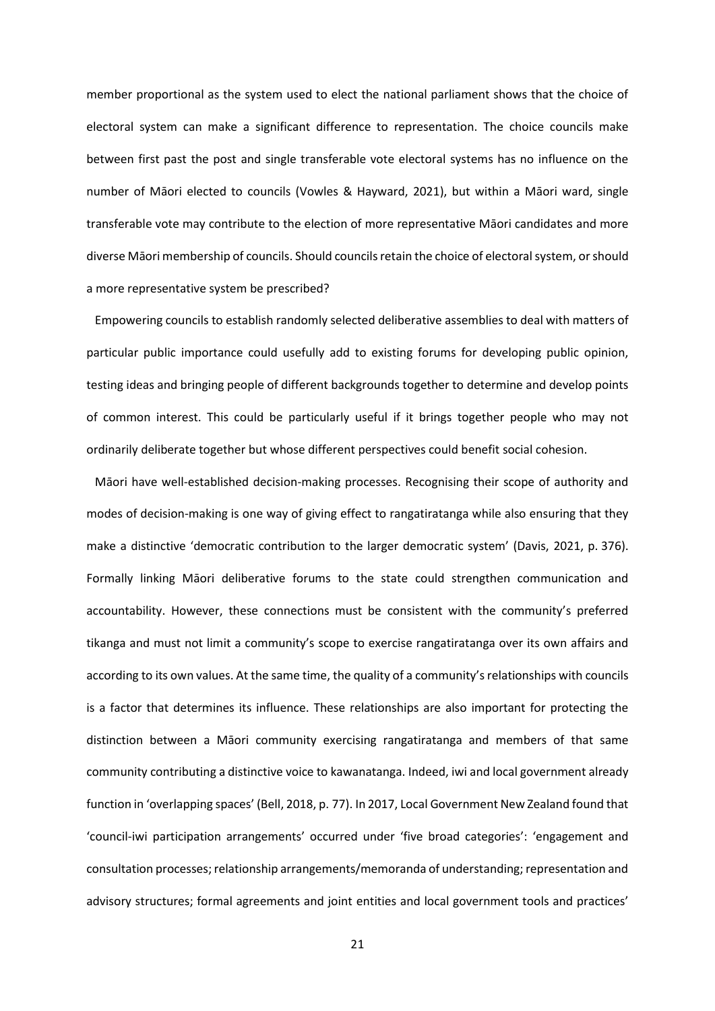member proportional as the system used to elect the national parliament shows that the choice of electoral system can make a significant difference to representation. The choice councils make between first past the post and single transferable vote electoral systems has no influence on the number of Māori elected to councils (Vowles & Hayward, 2021), but within a Māori ward, single transferable vote may contribute to the election of more representative Māori candidates and more diverse Māori membership of councils. Should councils retain the choice of electoral system, or should a more representative system be prescribed?

Empowering councils to establish randomly selected deliberative assemblies to deal with matters of particular public importance could usefully add to existing forums for developing public opinion, testing ideas and bringing people of different backgrounds together to determine and develop points of common interest. This could be particularly useful if it brings together people who may not ordinarily deliberate together but whose different perspectives could benefit social cohesion.

Māori have well-established decision-making processes. Recognising their scope of authority and modes of decision-making is one way of giving effect to rangatiratanga while also ensuring that they make a distinctive 'democratic contribution to the larger democratic system' (Davis, 2021, p. 376). Formally linking Māori deliberative forums to the state could strengthen communication and accountability. However, these connections must be consistent with the community's preferred tikanga and must not limit a community's scope to exercise rangatiratanga over its own affairs and according to its own values. At the same time, the quality of a community's relationships with councils is a factor that determines its influence. These relationships are also important for protecting the distinction between a Māori community exercising rangatiratanga and members of that same community contributing a distinctive voice to kawanatanga. Indeed, iwi and local government already function in 'overlapping spaces' (Bell, 2018, p. 77). In 2017, Local Government New Zealand found that 'council-iwi participation arrangements' occurred under 'five broad categories': 'engagement and consultation processes; relationship arrangements/memoranda of understanding; representation and advisory structures; formal agreements and joint entities and local government tools and practices'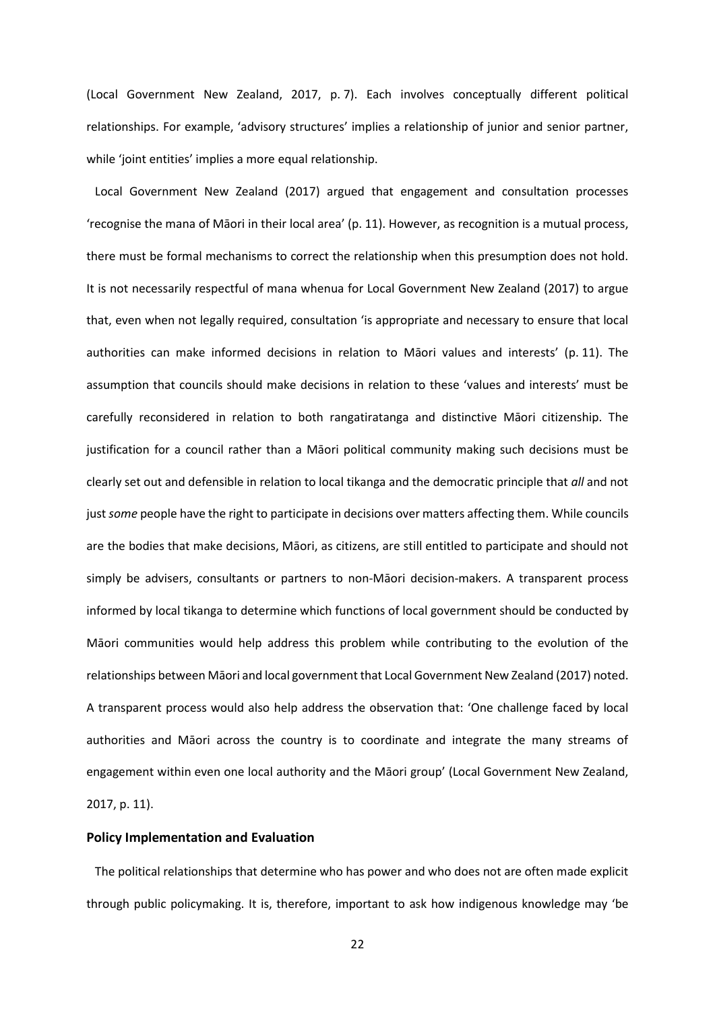(Local Government New Zealand, 2017, p. 7). Each involves conceptually different political relationships. For example, 'advisory structures' implies a relationship of junior and senior partner, while 'joint entities' implies a more equal relationship.

Local Government New Zealand (2017) argued that engagement and consultation processes 'recognise the mana of Māori in their local area' (p. 11). However, as recognition is a mutual process, there must be formal mechanisms to correct the relationship when this presumption does not hold. It is not necessarily respectful of mana whenua for Local Government New Zealand (2017) to argue that, even when not legally required, consultation 'is appropriate and necessary to ensure that local authorities can make informed decisions in relation to Māori values and interests' (p. 11). The assumption that councils should make decisions in relation to these 'values and interests' must be carefully reconsidered in relation to both rangatiratanga and distinctive Māori citizenship. The justification for a council rather than a Māori political community making such decisions must be clearly set out and defensible in relation to local tikanga and the democratic principle that *all* and not just *some* people have the right to participate in decisions over matters affecting them. While councils are the bodies that make decisions, Māori, as citizens, are still entitled to participate and should not simply be advisers, consultants or partners to non-Māori decision-makers. A transparent process informed by local tikanga to determine which functions of local government should be conducted by Māori communities would help address this problem while contributing to the evolution of the relationships between Māori and local government that Local Government New Zealand (2017) noted. A transparent process would also help address the observation that: 'One challenge faced by local authorities and Māori across the country is to coordinate and integrate the many streams of engagement within even one local authority and the Māori group' (Local Government New Zealand, 2017, p. 11).

## **Policy Implementation and Evaluation**

The political relationships that determine who has power and who does not are often made explicit through public policymaking. It is, therefore, important to ask how indigenous knowledge may 'be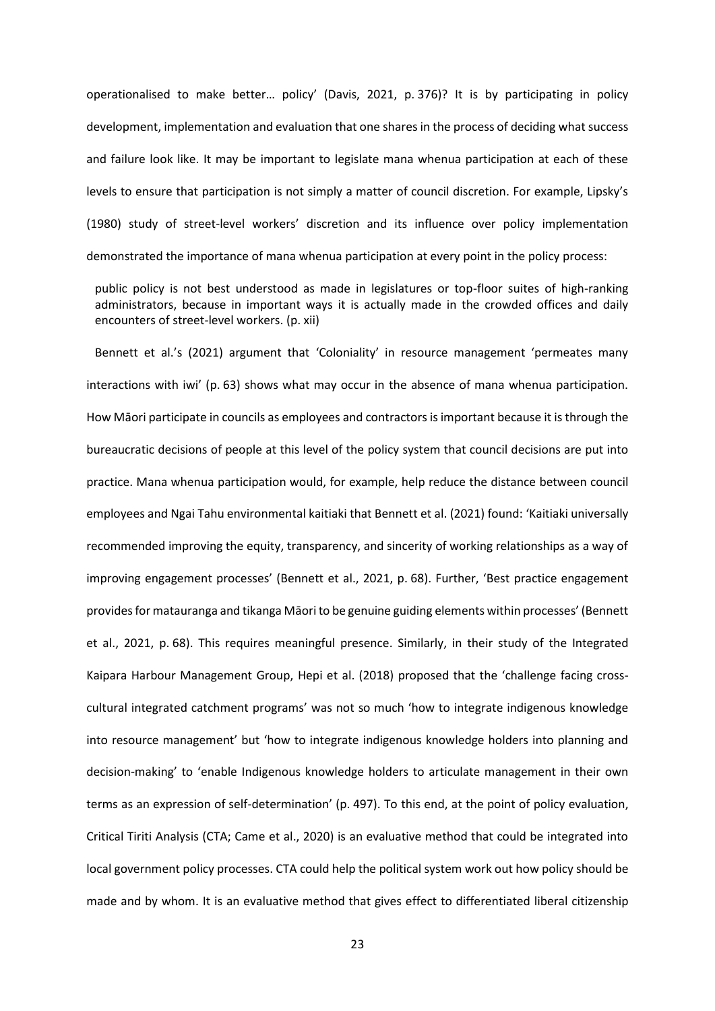operationalised to make better… policy' (Davis, 2021, p. 376)? It is by participating in policy development, implementation and evaluation that one shares in the process of deciding what success and failure look like. It may be important to legislate mana whenua participation at each of these levels to ensure that participation is not simply a matter of council discretion. For example, Lipsky's (1980) study of street-level workers' discretion and its influence over policy implementation demonstrated the importance of mana whenua participation at every point in the policy process:

public policy is not best understood as made in legislatures or top-floor suites of high-ranking administrators, because in important ways it is actually made in the crowded offices and daily encounters of street-level workers. (p. xii)

Bennett et al.'s (2021) argument that 'Coloniality' in resource management 'permeates many interactions with iwi' (p. 63) shows what may occur in the absence of mana whenua participation. How Māori participate in councils as employees and contractors is important because it is through the bureaucratic decisions of people at this level of the policy system that council decisions are put into practice. Mana whenua participation would, for example, help reduce the distance between council employees and Ngai Tahu environmental kaitiaki that Bennett et al. (2021) found: 'Kaitiaki universally recommended improving the equity, transparency, and sincerity of working relationships as a way of improving engagement processes' (Bennett et al., 2021, p. 68). Further, 'Best practice engagement provides for matauranga and tikanga Māori to be genuine guiding elements within processes' (Bennett et al., 2021, p. 68). This requires meaningful presence. Similarly, in their study of the Integrated Kaipara Harbour Management Group, Hepi et al. (2018) proposed that the 'challenge facing crosscultural integrated catchment programs' was not so much 'how to integrate indigenous knowledge into resource management' but 'how to integrate indigenous knowledge holders into planning and decision-making' to 'enable Indigenous knowledge holders to articulate management in their own terms as an expression of self-determination' (p. 497). To this end, at the point of policy evaluation, Critical Tiriti Analysis (CTA; Came et al., 2020) is an evaluative method that could be integrated into local government policy processes. CTA could help the political system work out how policy should be made and by whom. It is an evaluative method that gives effect to differentiated liberal citizenship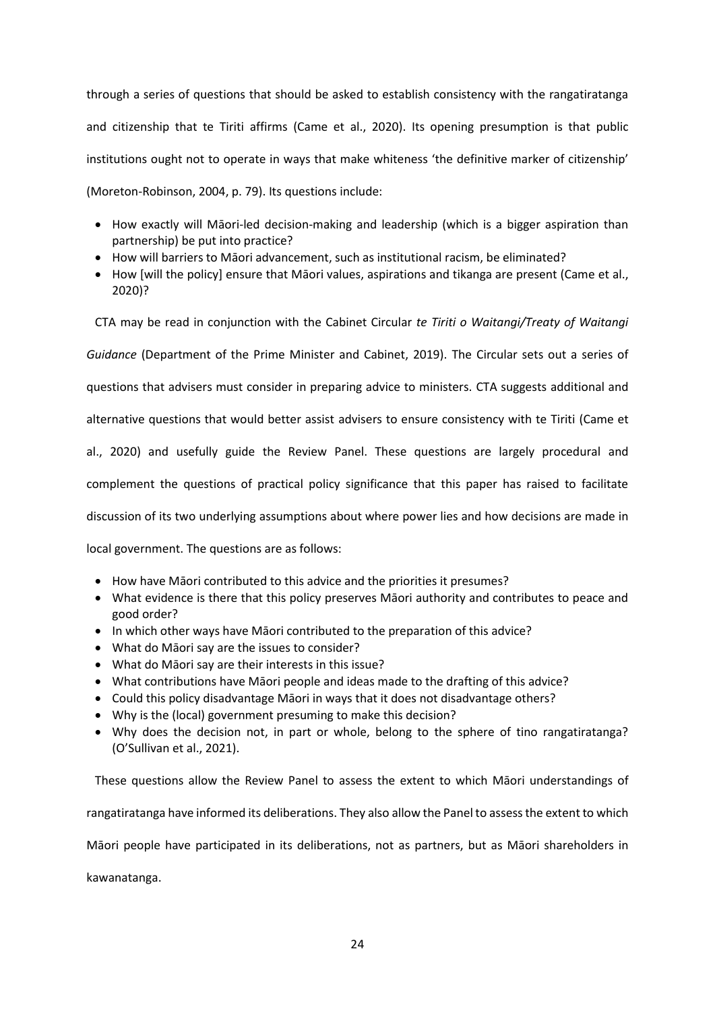through a series of questions that should be asked to establish consistency with the rangatiratanga and citizenship that te Tiriti affirms (Came et al., 2020). Its opening presumption is that public institutions ought not to operate in ways that make whiteness 'the definitive marker of citizenship' (Moreton-Robinson, 2004, p. 79). Its questions include:

- How exactly will Māori-led decision-making and leadership (which is a bigger aspiration than partnership) be put into practice?
- How will barriers to Māori advancement, such as institutional racism, be eliminated?
- How [will the policy] ensure that Māori values, aspirations and tikanga are present (Came et al., 2020)?

CTA may be read in conjunction with the Cabinet Circular *te Tiriti o Waitangi/Treaty of Waitangi* 

*Guidance* (Department of the Prime Minister and Cabinet, 2019). The Circular sets out a series of

questions that advisers must consider in preparing advice to ministers. CTA suggests additional and

alternative questions that would better assist advisers to ensure consistency with te Tiriti (Came et

al., 2020) and usefully guide the Review Panel. These questions are largely procedural and

complement the questions of practical policy significance that this paper has raised to facilitate

discussion of its two underlying assumptions about where power lies and how decisions are made in

local government. The questions are as follows:

- How have Māori contributed to this advice and the priorities it presumes?
- What evidence is there that this policy preserves Māori authority and contributes to peace and good order?
- In which other ways have Māori contributed to the preparation of this advice?
- What do Māori say are the issues to consider?
- What do Māori say are their interests in this issue?
- What contributions have Māori people and ideas made to the drafting of this advice?
- Could this policy disadvantage Māori in ways that it does not disadvantage others?
- Why is the (local) government presuming to make this decision?
- Why does the decision not, in part or whole, belong to the sphere of tino rangatiratanga? (O'Sullivan et al., 2021).

These questions allow the Review Panel to assess the extent to which Māori understandings of rangatiratanga have informed its deliberations. They also allow the Panel to assess the extent to which Māori people have participated in its deliberations, not as partners, but as Māori shareholders in kawanatanga.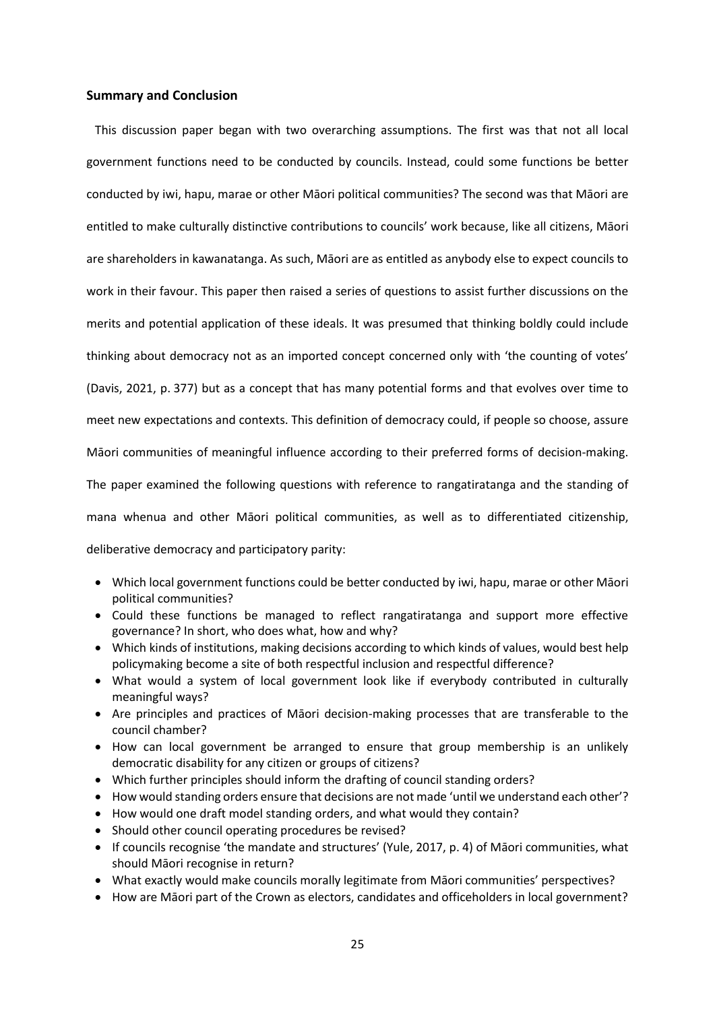## **Summary and Conclusion**

This discussion paper began with two overarching assumptions. The first was that not all local government functions need to be conducted by councils. Instead, could some functions be better conducted by iwi, hapu, marae or other Māori political communities? The second was that Māori are entitled to make culturally distinctive contributions to councils' work because, like all citizens, Māori are shareholders in kawanatanga. As such, Māori are as entitled as anybody else to expect councils to work in their favour. This paper then raised a series of questions to assist further discussions on the merits and potential application of these ideals. It was presumed that thinking boldly could include thinking about democracy not as an imported concept concerned only with 'the counting of votes' (Davis, 2021, p. 377) but as a concept that has many potential forms and that evolves over time to meet new expectations and contexts. This definition of democracy could, if people so choose, assure Māori communities of meaningful influence according to their preferred forms of decision-making. The paper examined the following questions with reference to rangatiratanga and the standing of mana whenua and other Māori political communities, as well as to differentiated citizenship, deliberative democracy and participatory parity:

- Which local government functions could be better conducted by iwi, hapu, marae or other Māori political communities?
- Could these functions be managed to reflect rangatiratanga and support more effective governance? In short, who does what, how and why?
- Which kinds of institutions, making decisions according to which kinds of values, would best help policymaking become a site of both respectful inclusion and respectful difference?
- What would a system of local government look like if everybody contributed in culturally meaningful ways?
- Are principles and practices of Māori decision-making processes that are transferable to the council chamber?
- How can local government be arranged to ensure that group membership is an unlikely democratic disability for any citizen or groups of citizens?
- Which further principles should inform the drafting of council standing orders?
- How would standing orders ensure that decisions are not made 'until we understand each other'?
- How would one draft model standing orders, and what would they contain?
- Should other council operating procedures be revised?
- If councils recognise 'the mandate and structures' (Yule, 2017, p. 4) of Māori communities, what should Māori recognise in return?
- What exactly would make councils morally legitimate from Māori communities' perspectives?
- How are Māori part of the Crown as electors, candidates and officeholders in local government?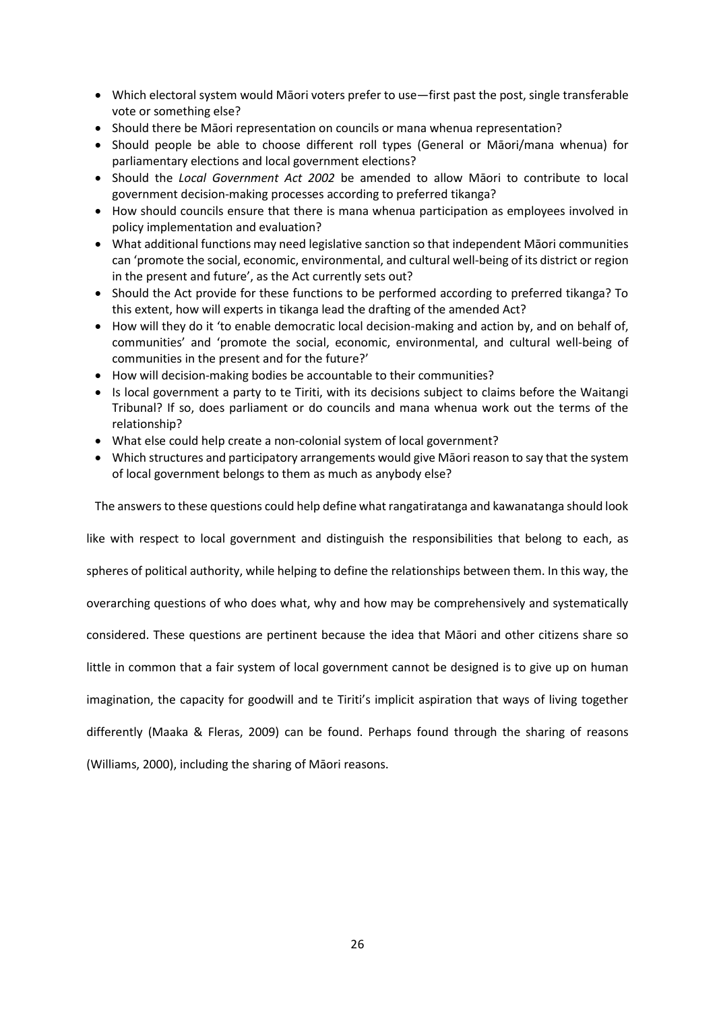- Which electoral system would Māori voters prefer to use—first past the post, single transferable vote or something else?
- Should there be Māori representation on councils or mana whenua representation?
- Should people be able to choose different roll types (General or Māori/mana whenua) for parliamentary elections and local government elections?
- Should the *Local Government Act 2002* be amended to allow Māori to contribute to local government decision-making processes according to preferred tikanga?
- How should councils ensure that there is mana whenua participation as employees involved in policy implementation and evaluation?
- What additional functions may need legislative sanction so that independent Māori communities can 'promote the social, economic, environmental, and cultural well-being of its district or region in the present and future', as the Act currently sets out?
- Should the Act provide for these functions to be performed according to preferred tikanga? To this extent, how will experts in tikanga lead the drafting of the amended Act?
- How will they do it 'to enable democratic local decision-making and action by, and on behalf of, communities' and 'promote the social, economic, environmental, and cultural well-being of communities in the present and for the future?'
- How will decision-making bodies be accountable to their communities?
- Is local government a party to te Tiriti, with its decisions subject to claims before the Waitangi Tribunal? If so, does parliament or do councils and mana whenua work out the terms of the relationship?
- What else could help create a non-colonial system of local government?
- Which structures and participatory arrangements would give Māori reason to say that the system of local government belongs to them as much as anybody else?

The answers to these questions could help define what rangatiratanga and kawanatanga should look

like with respect to local government and distinguish the responsibilities that belong to each, as

spheres of political authority, while helping to define the relationships between them. In this way, the

overarching questions of who does what, why and how may be comprehensively and systematically

considered. These questions are pertinent because the idea that Māori and other citizens share so

little in common that a fair system of local government cannot be designed is to give up on human

imagination, the capacity for goodwill and te Tiriti's implicit aspiration that ways of living together

differently (Maaka & Fleras, 2009) can be found. Perhaps found through the sharing of reasons

(Williams, 2000), including the sharing of Māori reasons.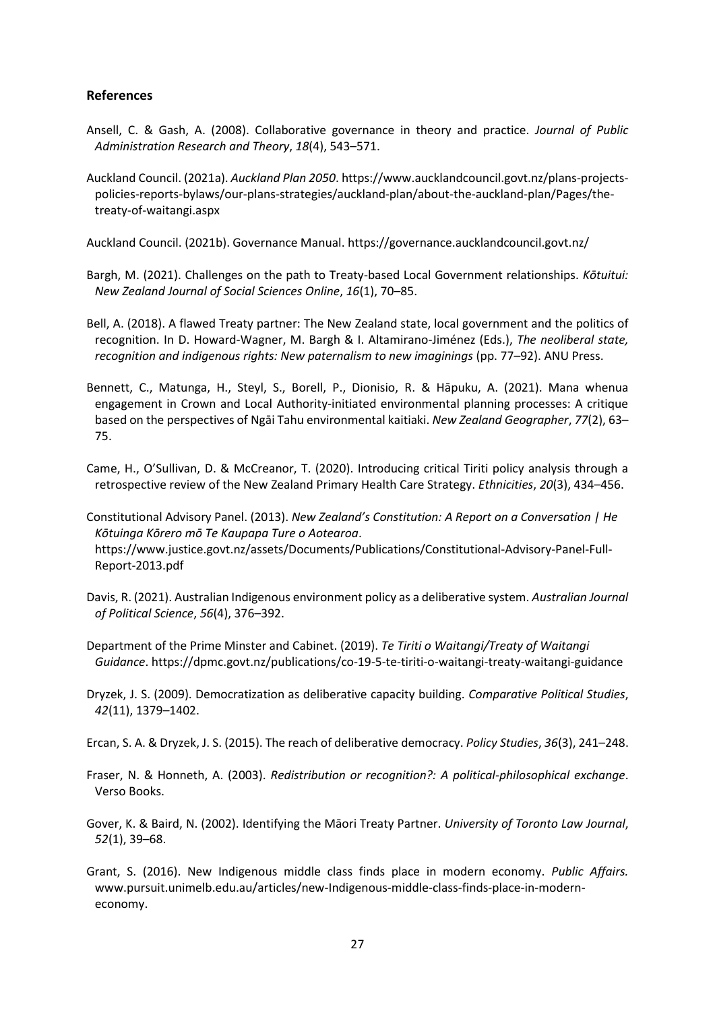# **References**

- Ansell, C. & Gash, A. (2008). Collaborative governance in theory and practice. *Journal of Public Administration Research and Theory*, *18*(4), 543–571.
- Auckland Council. (2021a). *Auckland Plan 2050*. https://www.aucklandcouncil.govt.nz/plans-projectspolicies-reports-bylaws/our-plans-strategies/auckland-plan/about-the-auckland-plan/Pages/thetreaty-of-waitangi.aspx

Auckland Council. (2021b). Governance Manual. https://governance.aucklandcouncil.govt.nz/

- Bargh, M. (2021). Challenges on the path to Treaty-based Local Government relationships. *Kōtuitui: New Zealand Journal of Social Sciences Online*, *16*(1), 70–85.
- Bell, A. (2018). A flawed Treaty partner: The New Zealand state, local government and the politics of recognition. In D. Howard-Wagner, M. Bargh & I. Altamirano-Jiménez (Eds.), *The neoliberal state, recognition and indigenous rights: New paternalism to new imaginings* (pp. 77–92). ANU Press.
- Bennett, C., Matunga, H., Steyl, S., Borell, P., Dionisio, R. & Hāpuku, A. (2021). Mana whenua engagement in Crown and Local Authority‐initiated environmental planning processes: A critique based on the perspectives of Ngāi Tahu environmental kaitiaki. *New Zealand Geographer*, *77*(2), 63– 75.
- Came, H., O'Sullivan, D. & McCreanor, T. (2020). Introducing critical Tiriti policy analysis through a retrospective review of the New Zealand Primary Health Care Strategy. *Ethnicities*, *20*(3), 434–456.
- Constitutional Advisory Panel. (2013). *New Zealand's Constitution: A Report on a Conversation | He Kōtuinga Kōrero mō Te Kaupapa Ture o Aotearoa*. https://www.justice.govt.nz/assets/Documents/Publications/Constitutional-Advisory-Panel-Full-Report-2013.pdf
- Davis, R. (2021). Australian Indigenous environment policy as a deliberative system. *Australian Journal of Political Science*, *56*(4), 376–392.
- Department of the Prime Minster and Cabinet. (2019). *Te Tiriti o Waitangi/Treaty of Waitangi Guidance*. https://dpmc.govt.nz/publications/co-19-5-te-tiriti-o-waitangi-treaty-waitangi-guidance
- Dryzek, J. S. (2009). Democratization as deliberative capacity building. *Comparative Political Studies*, *42*(11), 1379–1402.
- Ercan, S. A. & Dryzek, J. S. (2015). The reach of deliberative democracy. *Policy Studies*, *36*(3), 241–248.
- Fraser, N. & Honneth, A. (2003). *Redistribution or recognition?: A political-philosophical exchange*. Verso Books.
- Gover, K. & Baird, N. (2002). Identifying the Māori Treaty Partner. *University of Toronto Law Journal*, *52*(1), 39–68.
- Grant, S. (2016). New Indigenous middle class finds place in modern economy. *Public Affairs.* www.pursuit.unimelb.edu.au/articles/new-Indigenous-middle-class-finds-place-in-moderneconomy.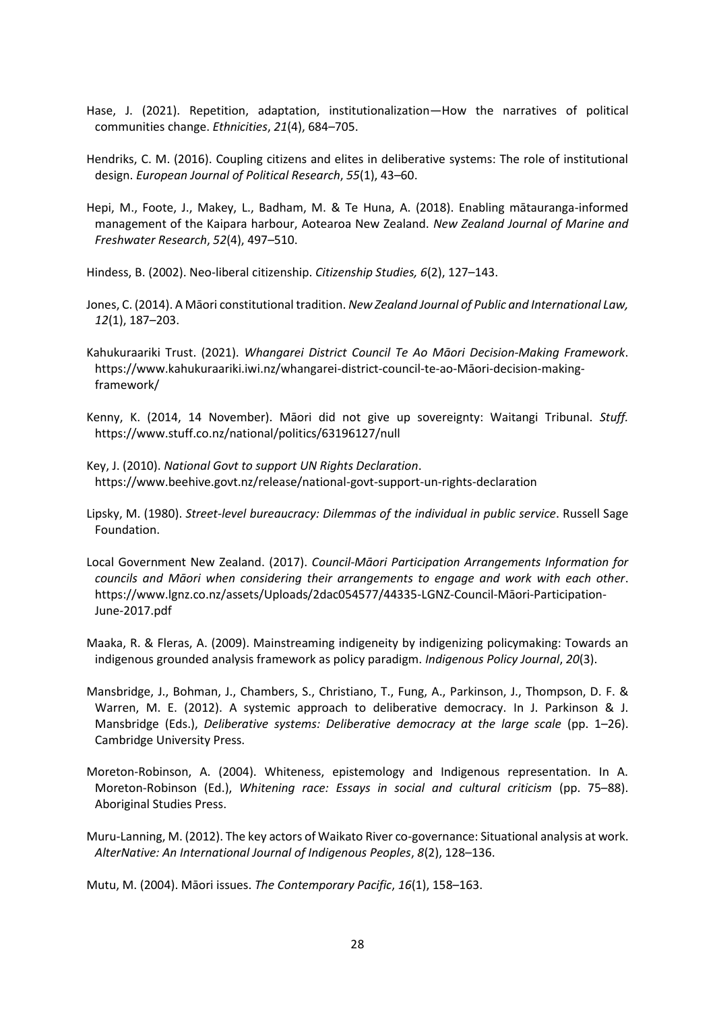- Hase, J. (2021). Repetition, adaptation, institutionalization—How the narratives of political communities change. *Ethnicities*, *21*(4), 684–705.
- Hendriks, C. M. (2016). Coupling citizens and elites in deliberative systems: The role of institutional design. *European Journal of Political Research*, *55*(1), 43–60.
- Hepi, M., Foote, J., Makey, L., Badham, M. & Te Huna, A. (2018). Enabling mātauranga-informed management of the Kaipara harbour, Aotearoa New Zealand. *New Zealand Journal of Marine and Freshwater Research*, *52*(4), 497–510.

Hindess, B. (2002). Neo-liberal citizenship. *Citizenship Studies, 6*(2), 127–143.

- Jones, C. (2014). A Māori constitutional tradition. *New Zealand Journal of Public and International Law, 12*(1), 187–203.
- Kahukuraariki Trust. (2021). *Whangarei District Council Te Ao Māori Decision-Making Framework*. https://www.kahukuraariki.iwi.nz/whangarei-district-council-te-ao-Māori-decision-makingframework/
- Kenny, K. (2014, 14 November). Māori did not give up sovereignty: Waitangi Tribunal. *Stuff.* https://www.stuff.co.nz/national/politics/63196127/null
- Key, J. (2010). *National Govt to support UN Rights Declaration*. https://www.beehive.govt.nz/release/national-govt-support-un-rights-declaration
- Lipsky, M. (1980). *Street-level bureaucracy: Dilemmas of the individual in public service*. Russell Sage Foundation.
- Local Government New Zealand. (2017). *Council-Māori Participation Arrangements Information for councils and Māori when considering their arrangements to engage and work with each other*. https://www.lgnz.co.nz/assets/Uploads/2dac054577/44335-LGNZ-Council-Māori-Participation-June-2017.pdf

Maaka, R. & Fleras, A. (2009). Mainstreaming indigeneity by indigenizing policymaking: Towards an indigenous grounded analysis framework as policy paradigm. *Indigenous Policy Journal*, *20*(3).

- Mansbridge, J., Bohman, J., Chambers, S., Christiano, T., Fung, A., Parkinson, J., Thompson, D. F. & Warren, M. E. (2012). A systemic approach to deliberative democracy. In J. Parkinson & J. Mansbridge (Eds.), *Deliberative systems: Deliberative democracy at the large scale* (pp. 1–26). Cambridge University Press.
- Moreton-Robinson, A. (2004). Whiteness, epistemology and Indigenous representation. In A. Moreton-Robinson (Ed.), *Whitening race: Essays in social and cultural criticism* (pp. 75–88). Aboriginal Studies Press.
- Muru-Lanning, M. (2012). The key actors of Waikato River co-governance: Situational analysis at work. *AlterNative: An International Journal of Indigenous Peoples*, *8*(2), 128–136.

Mutu, M. (2004). Māori issues. *The Contemporary Pacific*, *16*(1), 158–163.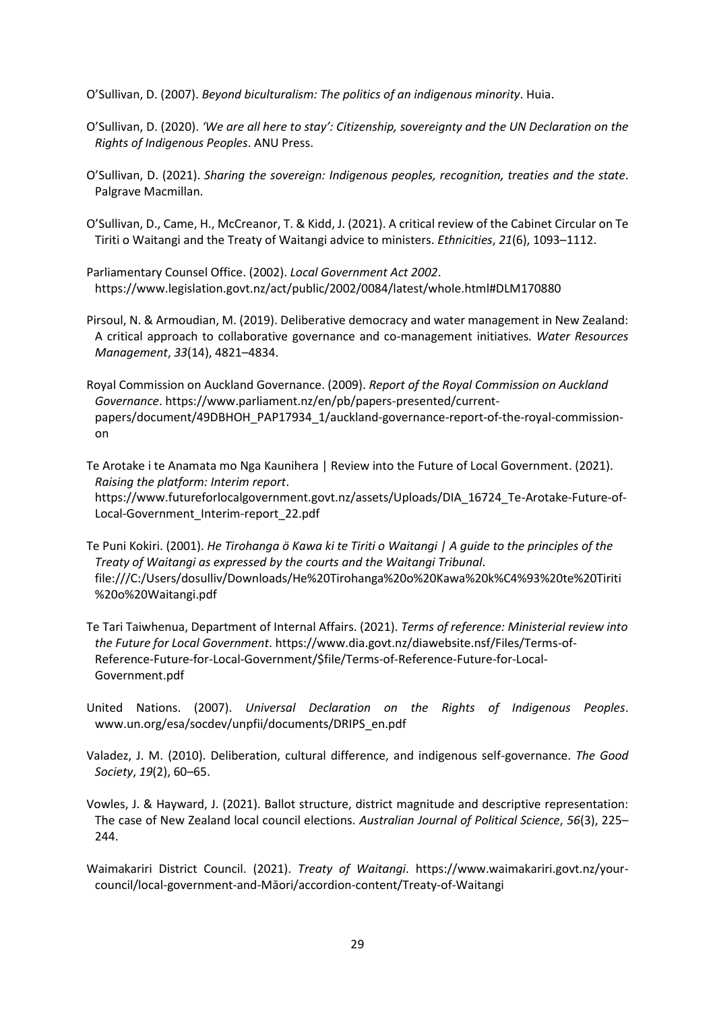O'Sullivan, D. (2007). *Beyond biculturalism: The politics of an indigenous minority*. Huia.

- O'Sullivan, D. (2020). *'We are all here to stay': Citizenship, sovereignty and the UN Declaration on the Rights of Indigenous Peoples*. ANU Press.
- O'Sullivan, D. (2021). *Sharing the sovereign: Indigenous peoples, recognition, treaties and the state*. Palgrave Macmillan.
- O'Sullivan, D., Came, H., McCreanor, T. & Kidd, J. (2021). A critical review of the Cabinet Circular on Te Tiriti o Waitangi and the Treaty of Waitangi advice to ministers. *Ethnicities*, *21*(6), 1093–1112.
- Parliamentary Counsel Office. (2002). *Local Government Act 2002*. https://www.legislation.govt.nz/act/public/2002/0084/latest/whole.html#DLM170880
- Pirsoul, N. & Armoudian, M. (2019). Deliberative democracy and water management in New Zealand: A critical approach to collaborative governance and co-management initiatives. *Water Resources Management*, *33*(14), 4821–4834.
- Royal Commission on Auckland Governance. (2009). *Report of the Royal Commission on Auckland Governance*. https://www.parliament.nz/en/pb/papers-presented/currentpapers/document/49DBHOH\_PAP17934\_1/auckland-governance-report-of-the-royal-commissionon
- Te Arotake i te Anamata mo Nga Kaunihera | Review into the Future of Local Government. (2021). *Raising the platform: Interim report*. https://www.futureforlocalgovernment.govt.nz/assets/Uploads/DIA\_16724\_Te-Arotake-Future-of-Local-Government\_Interim-report\_22.pdf
- Te Puni Kokiri. (2001). *He Tirohanga ö Kawa ki te Tiriti o Waitangi | A guide to the principles of the Treaty of Waitangi as expressed by the courts and the Waitangi Tribunal*. file:///C:/Users/dosulliv/Downloads/He%20Tirohanga%20o%20Kawa%20k%C4%93%20te%20Tiriti %20o%20Waitangi.pdf
- Te Tari Taiwhenua, [Department](https://www.dia.govt.nz/) of Internal Affairs. (2021). *Terms of reference: Ministerial review into the Future for Local Government*. https://www.dia.govt.nz/diawebsite.nsf/Files/Terms-of-Reference-Future-for-Local-Government/\$file/Terms-of-Reference-Future-for-Local-Government.pdf
- United Nations. (2007). *Universal Declaration on the Rights of Indigenous Peoples*. www.un.org/esa/socdev/unpfii/documents/DRIPS\_en.pdf
- Valadez, J. M. (2010). Deliberation, cultural difference, and indigenous self-governance. *The Good Society*, *19*(2), 60–65.
- Vowles, J. & Hayward, J. (2021). Ballot structure, district magnitude and descriptive representation: The case of New Zealand local council elections. *Australian Journal of Political Science*, *56*(3), 225– 244.
- Waimakariri District Council. (2021). *Treaty of Waitangi*. https://www.waimakariri.govt.nz/yourcouncil/local-government-and-Māori/accordion-content/Treaty-of-Waitangi